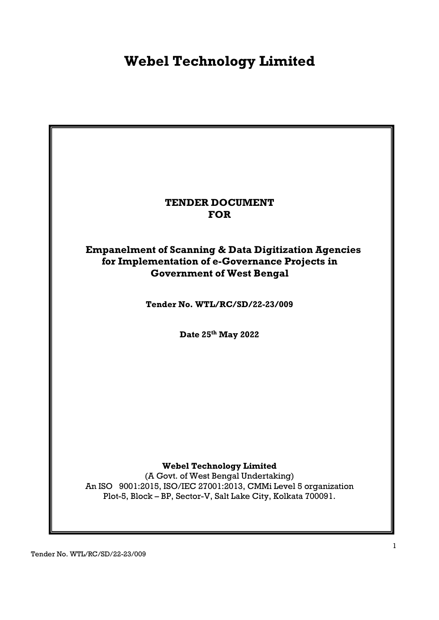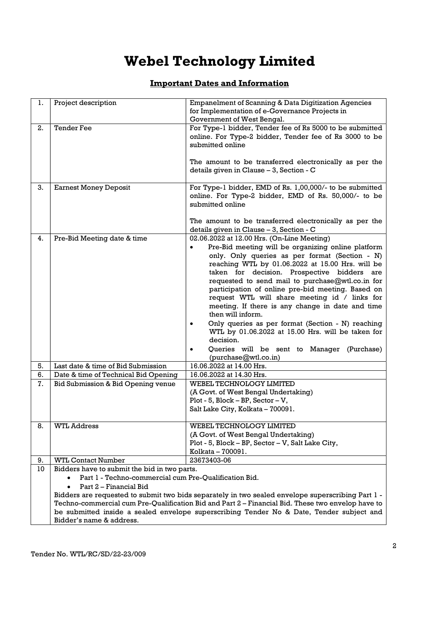### Important Dates and Information

| 1. | Project description                                   | <b>Empanelment of Scanning &amp; Data Digitization Agencies</b>                                                                                                                                                                                                                                                                                                                                                                                         |
|----|-------------------------------------------------------|---------------------------------------------------------------------------------------------------------------------------------------------------------------------------------------------------------------------------------------------------------------------------------------------------------------------------------------------------------------------------------------------------------------------------------------------------------|
|    |                                                       | for Implementation of e-Governance Projects in                                                                                                                                                                                                                                                                                                                                                                                                          |
|    |                                                       | Government of West Bengal.                                                                                                                                                                                                                                                                                                                                                                                                                              |
| 2. | <b>Tender Fee</b>                                     | For Type-1 bidder, Tender fee of Rs 5000 to be submitted<br>online. For Type-2 bidder, Tender fee of Rs 3000 to be<br>submitted online                                                                                                                                                                                                                                                                                                                  |
|    |                                                       | The amount to be transferred electronically as per the<br>details given in Clause - 3, Section - C                                                                                                                                                                                                                                                                                                                                                      |
| 3. | <b>Earnest Money Deposit</b>                          | For Type-1 bidder, EMD of Rs. 1,00,000/- to be submitted<br>online. For Type-2 bidder, EMD of Rs. 50,000/- to be<br>submitted online                                                                                                                                                                                                                                                                                                                    |
|    |                                                       | The amount to be transferred electronically as per the<br>details given in Clause - 3, Section - C                                                                                                                                                                                                                                                                                                                                                      |
| 4. | Pre-Bid Meeting date & time                           | 02.06.2022 at 12.00 Hrs. (On-Line Meeting)                                                                                                                                                                                                                                                                                                                                                                                                              |
|    |                                                       | Pre-Bid meeting will be organizing online platform<br>$\bullet$<br>only. Only queries as per format (Section - N)<br>reaching WTL by 01.06.2022 at 15.00 Hrs. will be<br>taken for decision. Prospective bidders are<br>requested to send mail to purchase@wtl.co.in for<br>participation of online pre-bid meeting. Based on<br>request WTL will share meeting id / links for<br>meeting. If there is any change in date and time<br>then will inform. |
|    |                                                       | Only queries as per format (Section - N) reaching<br>WTL by 01.06.2022 at 15.00 Hrs. will be taken for<br>decision.                                                                                                                                                                                                                                                                                                                                     |
|    |                                                       | Queries will be sent to Manager (Purchase)<br>(purchase@wtl.co.in)                                                                                                                                                                                                                                                                                                                                                                                      |
| 5. | Last date & time of Bid Submission                    | 16.06.2022 at 14.00 Hrs.                                                                                                                                                                                                                                                                                                                                                                                                                                |
| 6. | Date & time of Technical Bid Opening                  | 16.06.2022 at 14.30 Hrs.                                                                                                                                                                                                                                                                                                                                                                                                                                |
| 7. | Bid Submission & Bid Opening venue                    | WEBEL TECHNOLOGY LIMITED                                                                                                                                                                                                                                                                                                                                                                                                                                |
|    |                                                       | (A Govt. of West Bengal Undertaking)                                                                                                                                                                                                                                                                                                                                                                                                                    |
|    |                                                       | Plot - 5, Block - BP, Sector - V,                                                                                                                                                                                                                                                                                                                                                                                                                       |
|    |                                                       | Salt Lake City, Kolkata - 700091.                                                                                                                                                                                                                                                                                                                                                                                                                       |
| 8. | <b>WTL Address</b>                                    | <b>WEBEL TECHNOLOGY LIMITED</b>                                                                                                                                                                                                                                                                                                                                                                                                                         |
|    |                                                       | (A Govt. of West Bengal Undertaking)                                                                                                                                                                                                                                                                                                                                                                                                                    |
|    |                                                       | Plot - 5, Block - BP, Sector - V, Salt Lake City,                                                                                                                                                                                                                                                                                                                                                                                                       |
|    |                                                       | Kolkata - 700091.                                                                                                                                                                                                                                                                                                                                                                                                                                       |
| 9. | <b>WTL Contact Number</b>                             | 23673403-06                                                                                                                                                                                                                                                                                                                                                                                                                                             |
| 10 | Bidders have to submit the bid in two parts.          |                                                                                                                                                                                                                                                                                                                                                                                                                                                         |
|    | Part 1 - Techno-commercial cum Pre-Qualification Bid. |                                                                                                                                                                                                                                                                                                                                                                                                                                                         |
|    | Part 2 - Financial Bid                                |                                                                                                                                                                                                                                                                                                                                                                                                                                                         |
|    |                                                       | Bidders are requested to submit two bids separately in two sealed envelope superscribing Part 1 -                                                                                                                                                                                                                                                                                                                                                       |
|    |                                                       | Techno-commercial cum Pre-Qualification Bid and Part 2 - Financial Bid. These two envelop have to<br>be submitted inside a sealed envelope superscribing Tender No & Date, Tender subject and                                                                                                                                                                                                                                                           |
|    | Bidder's name & address.                              |                                                                                                                                                                                                                                                                                                                                                                                                                                                         |
|    |                                                       |                                                                                                                                                                                                                                                                                                                                                                                                                                                         |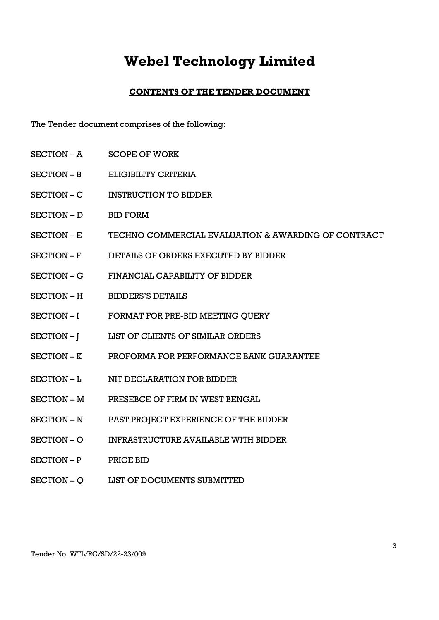### CONTENTS OF THE TENDER DOCUMENT

The Tender document comprises of the following:

- SECTION A SCOPE OF WORK
- SECTION B ELIGIBILITY CRITERIA
- SECTION C INSTRUCTION TO BIDDER
- SECTION D BID FORM
- SECTION E TECHNO COMMERCIAL EVALUATION & AWARDING OF CONTRACT
- SECTION F DETAILS OF ORDERS EXECUTED BY BIDDER
- SECTION G FINANCIAL CAPABILITY OF BIDDER
- SECTION H BIDDERS'S DETAILS
- SECTION I FORMAT FOR PRE-BID MEETING QUERY
- SECTION I LIST OF CLIENTS OF SIMILAR ORDERS
- SECTION K PROFORMA FOR PERFORMANCE BANK GUARANTEE
- SECTION L NIT DECLARATION FOR BIDDER
- SECTION M PRESEBCE OF FIRM IN WEST BENGAL
- SECTION N PAST PROJECT EXPERIENCE OF THE BIDDER
- SECTION O INFRASTRUCTURE AVAILABLE WITH BIDDER
- SECTION P PRICE BID
- SECTION Q LIST OF DOCUMENTS SUBMITTED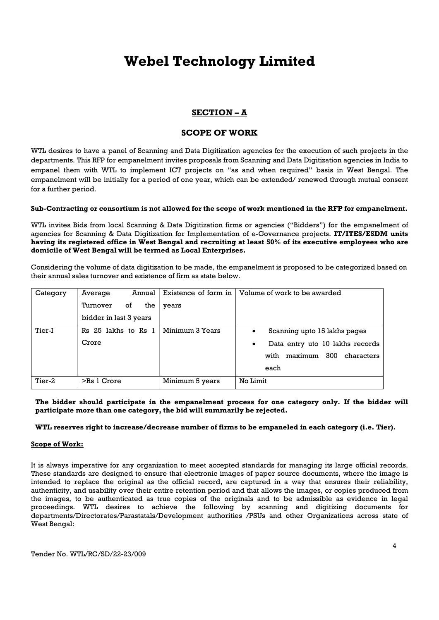### SECTION – A

### SCOPE OF WORK

WTL desires to have a panel of Scanning and Data Digitization agencies for the execution of such projects in the departments. This RFP for empanelment invites proposals from Scanning and Data Digitization agencies in India to empanel them with WTL to implement ICT projects on "as and when required" basis in West Bengal. The empanelment will be initially for a period of one year, which can be extended/ renewed through mutual consent for a further period.

#### Sub-Contracting or consortium is not allowed for the scope of work mentioned in the RFP for empanelment.

WTL invites Bids from local Scanning & Data Digitization firms or agencies ("Bidders") for the empanelment of agencies for Scanning & Data Digitization for Implementation of e-Governance projects. IT/ITES/ESDM units having its registered office in West Bengal and recruiting at least 50% of its executive employees who are domicile of West Bengal will be termed as Local Enterprises.

Considering the volume of data digitization to be made, the empanelment is proposed to be categorized based on their annual sales turnover and existence of firm as state below.

| Category | Annual<br>Average      | Existence of form in | Volume of work to be awarded                 |
|----------|------------------------|----------------------|----------------------------------------------|
|          | Turnover<br>the<br>οf  | years                |                                              |
|          | bidder in last 3 years |                      |                                              |
| Tier-I   | Rs 25 lakhs to Rs 1    | Minimum 3 Years      | Scanning upto 15 lakhs pages<br>$\bullet$    |
|          | Crore                  |                      | Data entry uto 10 lakhs records<br>$\bullet$ |
|          |                        |                      | maximum<br>300<br>with<br>characters         |
|          |                        |                      | each                                         |
| Tier-2   | $>$ Rs 1 Crore         | Minimum 5 years      | No Limit                                     |

The bidder should participate in the empanelment process for one category only. If the bidder will participate more than one category, the bid will summarily be rejected.

#### WTL reserves right to increase/decrease number of firms to be empaneled in each category (i.e. Tier).

#### Scope of Work:

It is always imperative for any organization to meet accepted standards for managing its large official records. These standards are designed to ensure that electronic images of paper source documents, where the image is intended to replace the original as the official record, are captured in a way that ensures their reliability, authenticity, and usability over their entire retention period and that allows the images, or copies produced from the images, to be authenticated as true copies of the originals and to be admissible as evidence in legal proceedings. WTL desires to achieve the following by scanning and digitizing documents for departments/Directorates/Parastatals/Development authorities /PSUs and other Organizations across state of West Bengal: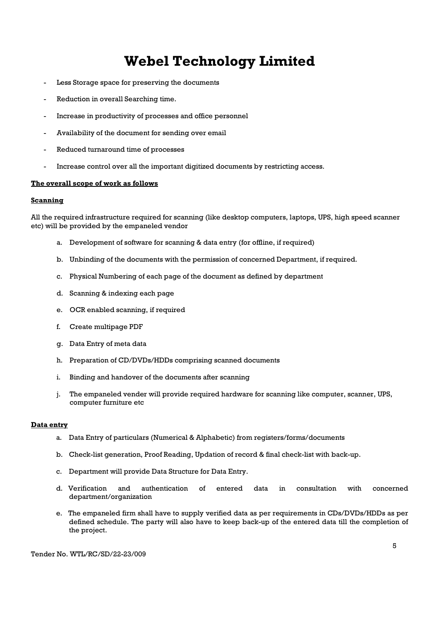- Less Storage space for preserving the documents
- Reduction in overall Searching time.
- Increase in productivity of processes and office personnel
- Availability of the document for sending over email
- Reduced turnaround time of processes
- Increase control over all the important digitized documents by restricting access.

#### The overall scope of work as follows

#### **Scanning**

All the required infrastructure required for scanning (like desktop computers, laptops, UPS, high speed scanner etc) will be provided by the empaneled vendor

- a. Development of software for scanning & data entry (for offline, if required)
- b. Unbinding of the documents with the permission of concerned Department, if required.
- c. Physical Numbering of each page of the document as defined by department
- d. Scanning & indexing each page
- e. OCR enabled scanning, if required
- f. Create multipage PDF
- g. Data Entry of meta data
- h. Preparation of CD/DVDs/HDDs comprising scanned documents
- i. Binding and handover of the documents after scanning
- j. The empaneled vender will provide required hardware for scanning like computer, scanner, UPS, computer furniture etc

#### Data entry

- a. Data Entry of particulars (Numerical & Alphabetic) from registers/forms/documents
- b. Check-list generation, Proof Reading, Updation of record & final check-list with back-up.
- c. Department will provide Data Structure for Data Entry.
- d. Verification and authentication of entered data in consultation with concerned department/organization
- e. The empaneled firm shall have to supply verified data as per requirements in CDs/DVDs/HDDs as per defined schedule. The party will also have to keep back-up of the entered data till the completion of the project.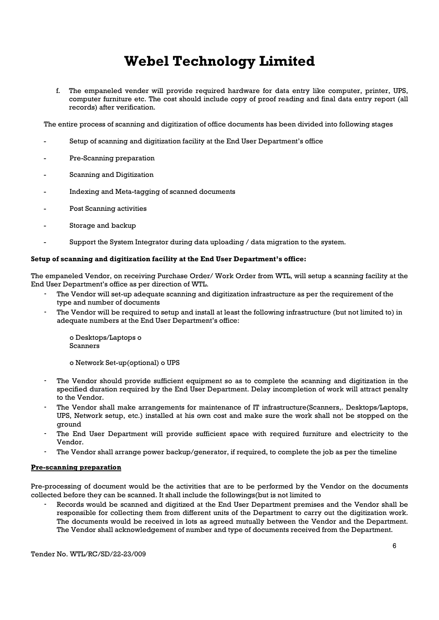f. The empaneled vender will provide required hardware for data entry like computer, printer, UPS, computer furniture etc. The cost should include copy of proof reading and final data entry report (all records) after verification.

The entire process of scanning and digitization of office documents has been divided into following stages

- Setup of scanning and digitization facility at the End User Department's office
- Pre-Scanning preparation
- Scanning and Digitization
- Indexing and Meta-tagging of scanned documents
- Post Scanning activities
- Storage and backup
- Support the System Integrator during data uploading / data migration to the system.

#### Setup of scanning and digitization facility at the End User Department's office:

The empaneled Vendor, on receiving Purchase Order/ Work Order from WTL, will setup a scanning facility at the End User Department's office as per direction of WTL.

- The Vendor will set-up adequate scanning and digitization infrastructure as per the requirement of the type and number of documents
- The Vendor will be required to setup and install at least the following infrastructure (but not limited to) in adequate numbers at the End User Department's office:

o Desktops/Laptops o Scanners

o Network Set-up(optional) o UPS

- The Vendor should provide sufficient equipment so as to complete the scanning and digitization in the specified duration required by the End User Department. Delay incompletion of work will attract penalty to the Vendor.
- The Vendor shall make arrangements for maintenance of IT infrastructure(Scanners,. Desktops/Laptops, UPS, Network setup, etc.) installed at his own cost and make sure the work shall not be stopped on the ground
- The End User Department will provide sufficient space with required furniture and electricity to the Vendor.
- The Vendor shall arrange power backup/generator, if required, to complete the job as per the timeline

#### Pre-scanning preparation

Pre-processing of document would be the activities that are to be performed by the Vendor on the documents collected before they can be scanned. It shall include the followings(but is not limited to

- Records would be scanned and digitized at the End User Department premises and the Vendor shall be responsible for collecting them from different units of the Department to carry out the digitization work. The documents would be received in lots as agreed mutually between the Vendor and the Department. The Vendor shall acknowledgement of number and type of documents received from the Department.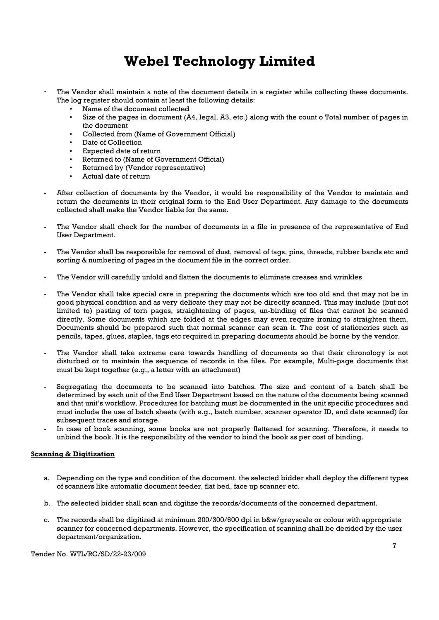- The Vendor shall maintain a note of the document details in a register while collecting these documents. The log register should contain at least the following details:
	- Name of the document collected
	- Size of the pages in document (A4, legal, A3, etc.) along with the count o Total number of pages in the document
	- Collected from (Name of Government Official)
	- Date of Collection
	- Expected date of return
	- Returned to (Name of Government Official)
	- Returned by (Vendor representative)
	- Actual date of return
- After collection of documents by the Vendor, it would be responsibility of the Vendor to maintain and return the documents in their original form to the End User Department. Any damage to the documents collected shall make the Vendor liable for the same.
- The Vendor shall check for the number of documents in a file in presence of the representative of End User Department.
- The Vendor shall be responsible for removal of dust, removal of tags, pins, threads, rubber bands etc and sorting & numbering of pages in the document file in the correct order.
- The Vendor will carefully unfold and flatten the documents to eliminate creases and wrinkles
- The Vendor shall take special care in preparing the documents which are too old and that may not be in good physical condition and as very delicate they may not be directly scanned. This may include (but not limited to) pasting of torn pages, straightening of pages, un-binding of files that cannot be scanned directly. Some documents which are folded at the edges may even require ironing to straighten them. Documents should be prepared such that normal scanner can scan it. The cost of stationeries such as pencils, tapes, glues, staples, tags etc required in preparing documents should be borne by the vendor.
- The Vendor shall take extreme care towards handling of documents so that their chronology is not disturbed or to maintain the sequence of records in the files. For example, Multi-page documents that must be kept together (e.g., a letter with an attachment)
- Segregating the documents to be scanned into batches. The size and content of a batch shall be determined by each unit of the End User Department based on the nature of the documents being scanned and that unit's workflow. Procedures for batching must be documented in the unit specific procedures and must include the use of batch sheets (with e.g., batch number, scanner operator ID, and date scanned) for subsequent traces and storage.
- In case of book scanning, some books are not properly flattened for scanning. Therefore, it needs to unbind the book. It is the responsibility of the vendor to bind the book as per cost of binding.

#### Scanning & Digitization

- a. Depending on the type and condition of the document, the selected bidder shall deploy the different types of scanners like automatic document feeder, flat bed, face up scanner etc.
- b. The selected bidder shall scan and digitize the records/documents of the concerned department.
- c. The records shall be digitized at minimum 200/300/600 dpi in b&w/greyscale or colour with appropriate scanner for concerned departments. However, the specification of scanning shall be decided by the user department/organization.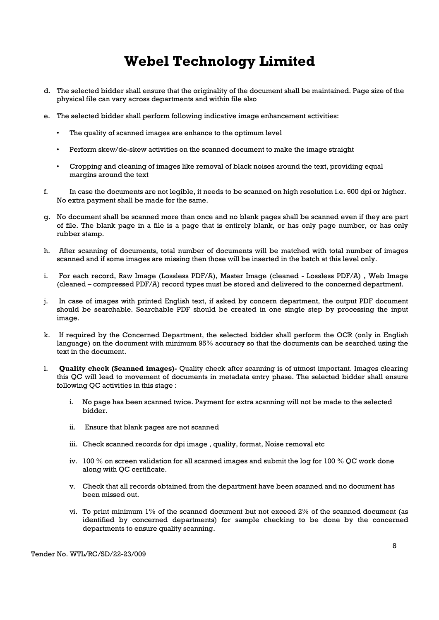- d. The selected bidder shall ensure that the originality of the document shall be maintained. Page size of the physical file can vary across departments and within file also
- e. The selected bidder shall perform following indicative image enhancement activities:
	- The quality of scanned images are enhance to the optimum level
	- Perform skew/de-skew activities on the scanned document to make the image straight
	- Cropping and cleaning of images like removal of black noises around the text, providing equal margins around the text
- f. In case the documents are not legible, it needs to be scanned on high resolution i.e. 600 dpi or higher. No extra payment shall be made for the same.
- g. No document shall be scanned more than once and no blank pages shall be scanned even if they are part of file. The blank page in a file is a page that is entirely blank, or has only page number, or has only rubber stamp.
- h. After scanning of documents, total number of documents will be matched with total number of images scanned and if some images are missing then those will be inserted in the batch at this level only.
- i. For each record, Raw Image (Lossless PDF/A), Master Image (cleaned Lossless PDF/A) , Web Image (cleaned – compressed PDF/A) record types must be stored and delivered to the concerned department.
- j. In case of images with printed English text, if asked by concern department, the output PDF document should be searchable. Searchable PDF should be created in one single step by processing the input image.
- k. If required by the Concerned Department, the selected bidder shall perform the OCR (only in English language) on the document with minimum 95% accuracy so that the documents can be searched using the text in the document.
- l. Quality check (Scanned images)- Quality check after scanning is of utmost important. Images clearing this QC will lead to movement of documents in metadata entry phase. The selected bidder shall ensure following QC activities in this stage :
	- i. No page has been scanned twice. Payment for extra scanning will not be made to the selected bidder.
	- ii. Ensure that blank pages are not scanned
	- iii. Check scanned records for dpi image , quality, format, Noise removal etc
	- iv. 100 % on screen validation for all scanned images and submit the log for 100 % QC work done along with QC certificate.
	- v. Check that all records obtained from the department have been scanned and no document has been missed out.
	- vi. To print minimum 1% of the scanned document but not exceed 2% of the scanned document (as identified by concerned departments) for sample checking to be done by the concerned departments to ensure quality scanning.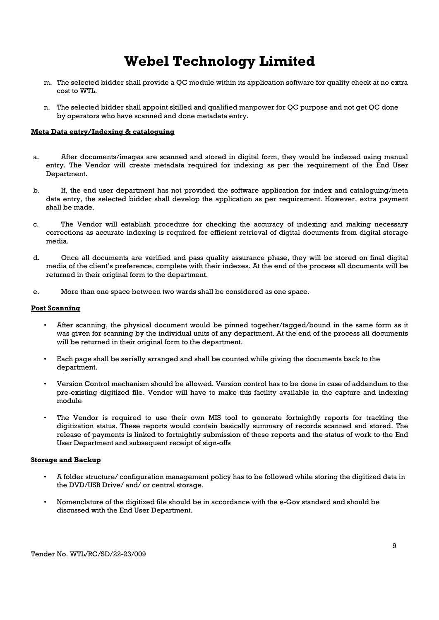- m. The selected bidder shall provide a QC module within its application software for quality check at no extra cost to WTL.
- n. The selected bidder shall appoint skilled and qualified manpower for QC purpose and not get QC done by operators who have scanned and done metadata entry.

#### Meta Data entry/Indexing & cataloguing

- a. After documents/images are scanned and stored in digital form, they would be indexed using manual entry. The Vendor will create metadata required for indexing as per the requirement of the End User Department.
- b. If, the end user department has not provided the software application for index and cataloguing/meta data entry, the selected bidder shall develop the application as per requirement. However, extra payment shall be made.
- c. The Vendor will establish procedure for checking the accuracy of indexing and making necessary corrections as accurate indexing is required for efficient retrieval of digital documents from digital storage media.
- d. Once all documents are verified and pass quality assurance phase, they will be stored on final digital media of the client's preference, complete with their indexes. At the end of the process all documents will be returned in their original form to the department.
- e. More than one space between two wards shall be considered as one space.

#### Post Scanning

- After scanning, the physical document would be pinned together/tagged/bound in the same form as it was given for scanning by the individual units of any department. At the end of the process all documents will be returned in their original form to the department.
- Each page shall be serially arranged and shall be counted while giving the documents back to the department.
- Version Control mechanism should be allowed. Version control has to be done in case of addendum to the pre-existing digitized file. Vendor will have to make this facility available in the capture and indexing module
- The Vendor is required to use their own MIS tool to generate fortnightly reports for tracking the digitization status. These reports would contain basically summary of records scanned and stored. The release of payments is linked to fortnightly submission of these reports and the status of work to the End User Department and subsequent receipt of sign-offs

#### Storage and Backup

- A folder structure/ configuration management policy has to be followed while storing the digitized data in the DVD/USB Drive/ and/ or central storage.
- Nomenclature of the digitized file should be in accordance with the e-Gov standard and should be discussed with the End User Department.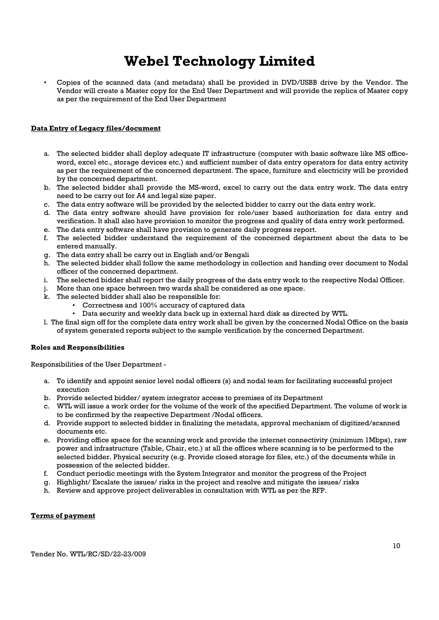• Copies of the scanned data (and metadata) shall be provided in DVD/USBB drive by the Vendor. The Vendor will create a Master copy for the End User Department and will provide the replica of Master copy as per the requirement of the End User Department

#### Data Entry of Legacy files/document

- a. The selected bidder shall deploy adequate IT infrastructure (computer with basic software like MS officeword, excel etc., storage devices etc.) and sufficient number of data entry operators for data entry activity as per the requirement of the concerned department. The space, furniture and electricity will be provided by the concerned department.
- b. The selected bidder shall provide the MS-word, excel to carry out the data entry work. The data entry need to be carry out for A4 and legal size paper.
- c. The data entry software will be provided by the selected bidder to carry out the data entry work.
- d. The data entry software should have provision for role/user based authorization for data entry and verification. It shall also have provision to monitor the progress and quality of data entry work performed.
- e. The data entry software shall have provision to generate daily progress report.
- f. The selected bidder understand the requirement of the concerned department about the data to be entered manually.
- g. The data entry shall be carry out in English and/or Bengali
- h. The selected bidder shall follow the same methodology in collection and handing over document to Nodal officer of the concerned department.
- i. The selected bidder shall report the daily progress of the data entry work to the respective Nodal Officer.
- j. More than one space between two wards shall be considered as one space.
- k. The selected bidder shall also be responsible for:
	- Correctness and 100% accuracy of captured data
	- Data security and weekly data back up in external hard disk as directed by WTL.
- l. The final sign off for the complete data entry work shall be given by the concerned Nodal Office on the basis of system generated reports subject to the sample verification by the concerned Department.

#### Roles and Responsibilities

Responsibilities of the User Department -

- a. To identify and appoint senior level nodal officers (s) and nodal team for facilitating successful project execution
- b. Provide selected bidder/ system integrator access to premises of its Department
- c. WTL will issue a work order for the volume of the work of the specified Department. The volume of work is to be confirmed by the respective Department /Nodal officers.
- d. Provide support to selected bidder in finalizing the metadata, approval mechanism of digitized/scanned documents etc.
- e. Providing office space for the scanning work and provide the internet connectivity (minimum 1Mbps), raw power and infrastructure (Table, Chair, etc.) at all the offices where scanning is to be performed to the selected bidder. Physical security (e.g. Provide closed storage for files, etc.) of the documents while in possession of the selected bidder.
- f. Conduct periodic meetings with the System Integrator and monitor the progress of the Project
- g. Highlight/ Escalate the issues/ risks in the project and resolve and mitigate the issues/ risks
- h. Review and approve project deliverables in consultation with WTL as per the RFP.

#### Terms of payment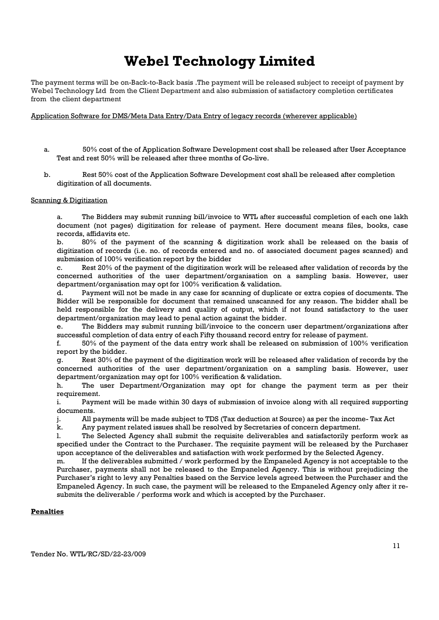The payment terms will be on-Back-to-Back basis .The payment will be released subject to receipt of payment by Webel Technology Ltd from the Client Department and also submission of satisfactory completion certificates from the client department

#### Application Software for DMS/Meta Data Entry/Data Entry of legacy records (wherever applicable)

- a. 50% cost of the of Application Software Development cost shall be released after User Acceptance Test and rest 50% will be released after three months of Go-live.
- b. Rest 50% cost of the Application Software Development cost shall be released after completion digitization of all documents.

#### Scanning & Digitization

a. The Bidders may submit running bill/invoice to WTL after successful completion of each one lakh document (not pages) digitization for release of payment. Here document means files, books, case records, affidavits etc.

b. 80% of the payment of the scanning & digitization work shall be released on the basis of digitization of records (i.e. no. of records entered and no. of associated document pages scanned) and submission of 100% verification report by the bidder

c. Rest 20% of the payment of the digitization work will be released after validation of records by the concerned authorities of the user department/organisation on a sampling basis. However, user department/organisation may opt for 100% verification & validation.

d. Payment will not be made in any case for scanning of duplicate or extra copies of documents. The Bidder will be responsible for document that remained unscanned for any reason. The bidder shall be held responsible for the delivery and quality of output, which if not found satisfactory to the user department/organization may lead to penal action against the bidder.

e. The Bidders may submit running bill/invoice to the concern user department/organizations after successful completion of data entry of each Fifty thousand record entry for release of payment.

f. 50% of the payment of the data entry work shall be released on submission of 100% verification report by the bidder.

g. Rest 30% of the payment of the digitization work will be released after validation of records by the concerned authorities of the user department/organization on a sampling basis. However, user department/organization may opt for 100% verification & validation.

h. The user Department/Organization may opt for change the payment term as per their requirement.

i. Payment will be made within 30 days of submission of invoice along with all required supporting documents.

j. All payments will be made subject to TDS (Tax deduction at Source) as per the income- Tax Act

k. Any payment related issues shall be resolved by Secretaries of concern department.

l. The Selected Agency shall submit the requisite deliverables and satisfactorily perform work as specified under the Contract to the Purchaser. The requisite payment will be released by the Purchaser upon acceptance of the deliverables and satisfaction with work performed by the Selected Agency.

m. If the deliverables submitted / work performed by the Empaneled Agency is not acceptable to the Purchaser, payments shall not be released to the Empaneled Agency. This is without prejudicing the Purchaser's right to levy any Penalties based on the Service levels agreed between the Purchaser and the Empaneled Agency. In such case, the payment will be released to the Empaneled Agency only after it resubmits the deliverable / performs work and which is accepted by the Purchaser.

#### **Penalties**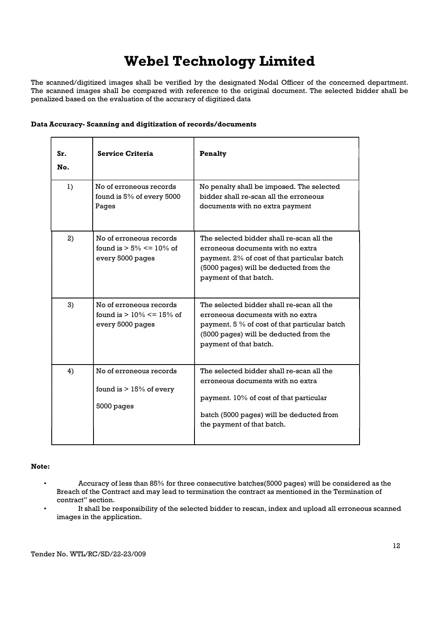The scanned/digitized images shall be verified by the designated Nodal Officer of the concerned department. The scanned images shall be compared with reference to the original document. The selected bidder shall be penalized based on the evaluation of the accuracy of digitized data

| Sr.<br>No. | <b>Service Criteria</b>                                                      | <b>Penalty</b>                                                                                                                                                                                      |
|------------|------------------------------------------------------------------------------|-----------------------------------------------------------------------------------------------------------------------------------------------------------------------------------------------------|
| 1)         | No of erroneous records<br>found is 5% of every 5000<br>Pages                | No penalty shall be imposed. The selected<br>bidder shall re-scan all the erroneous<br>documents with no extra payment                                                                              |
| 2)         | No of erroneous records<br>found is $> 5\% \le 10\%$ of<br>every 5000 pages  | The selected bidder shall re-scan all the<br>erroneous documents with no extra<br>payment. 2% of cost of that particular batch<br>(5000 pages) will be deducted from the<br>payment of that batch.  |
| 3)         | No of erroneous records<br>found is $> 10\% \le 15\%$ of<br>every 5000 pages | The selected bidder shall re-scan all the<br>erroneous documents with no extra<br>payment. 5 % of cost of that particular batch<br>(5000 pages) will be deducted from the<br>payment of that batch. |
| 4)         | No of erroneous records<br>found is $> 15\%$ of every<br>5000 pages          | The selected bidder shall re-scan all the<br>erroneous documents with no extra<br>payment. 10% of cost of that particular<br>batch (5000 pages) will be deducted from<br>the payment of that batch. |

Note:

- Accuracy of less than 85% for three consecutive batches(5000 pages) will be considered as the Breach of the Contract and may lead to termination the contract as mentioned in the Termination of contract" section.
- It shall be responsibility of the selected bidder to rescan, index and upload all erroneous scanned images in the application.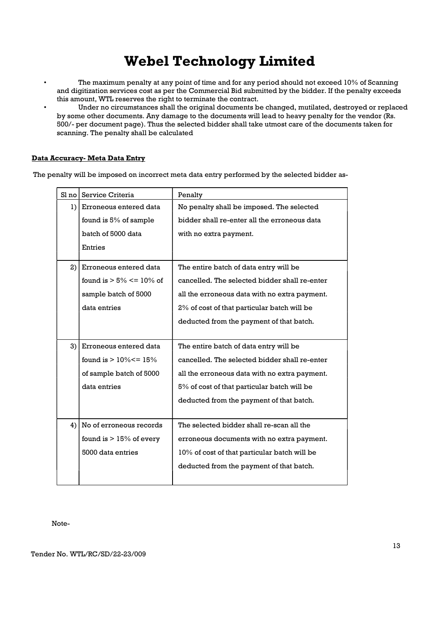- The maximum penalty at any point of time and for any period should not exceed 10% of Scanning and digitization services cost as per the Commercial Bid submitted by the bidder. If the penalty exceeds this amount, WTL reserves the right to terminate the contract.
- Under no circumstances shall the original documents be changed, mutilated, destroyed or replaced by some other documents. Any damage to the documents will lead to heavy penalty for the vendor (Rs. 500/- per document page). Thus the selected bidder shall take utmost care of the documents taken for scanning. The penalty shall be calculated

### Data Accuracy- Meta Data Entry

The penalty will be imposed on incorrect meta data entry performed by the selected bidder as-

| Sl no | Service Criteria             | Penalty                                       |  |
|-------|------------------------------|-----------------------------------------------|--|
| 1)    | Erroneous entered data       | No penalty shall be imposed. The selected     |  |
|       | found is 5% of sample        | bidder shall re-enter all the erroneous data  |  |
|       | batch of 5000 data           | with no extra payment.                        |  |
|       | Entries                      |                                               |  |
| 2)    | Erroneous entered data       | The entire batch of data entry will be        |  |
|       | found is $> 5\% \le 10\%$ of | cancelled. The selected bidder shall re-enter |  |
|       | sample batch of 5000         | all the erroneous data with no extra payment. |  |
|       | data entries                 | 2% of cost of that particular batch will be   |  |
|       |                              | deducted from the payment of that batch.      |  |
|       |                              |                                               |  |
| 3)    | Erroneous entered data       | The entire batch of data entry will be        |  |
|       | found is $> 10\% < = 15\%$   | cancelled. The selected bidder shall re-enter |  |
|       | of sample batch of 5000      | all the erroneous data with no extra payment. |  |
|       | data entries                 | 5% of cost of that particular batch will be   |  |
|       |                              | deducted from the payment of that batch.      |  |
|       |                              |                                               |  |
| 4)    | No of erroneous records      | The selected bidder shall re-scan all the     |  |
|       | found is $> 15\%$ of every   | erroneous documents with no extra payment.    |  |
|       | 5000 data entries            | 10% of cost of that particular batch will be  |  |
|       |                              | deducted from the payment of that batch.      |  |
|       |                              |                                               |  |

Note-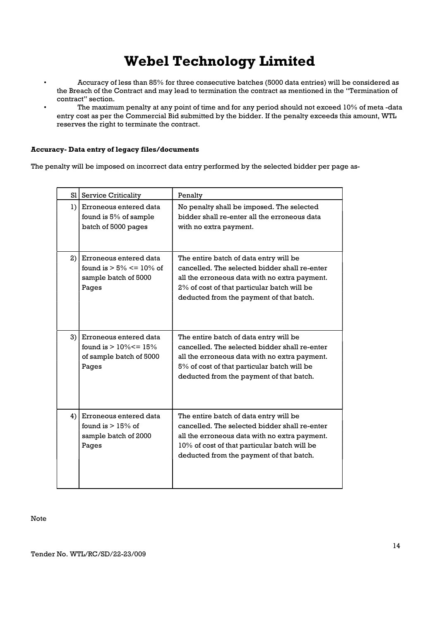- Accuracy of less than 85% for three consecutive batches (5000 data entries) will be considered as the Breach of the Contract and may lead to termination the contract as mentioned in the "Termination of contract" section.
- The maximum penalty at any point of time and for any period should not exceed 10% of meta -data entry cost as per the Commercial Bid submitted by the bidder. If the penalty exceeds this amount, WTL reserves the right to terminate the contract.

### Accuracy- Data entry of legacy files/documents

The penalty will be imposed on incorrect data entry performed by the selected bidder per page as-

| S1 | Service Criticality                                                                      | Penalty                                                                                                                                                                                                                              |
|----|------------------------------------------------------------------------------------------|--------------------------------------------------------------------------------------------------------------------------------------------------------------------------------------------------------------------------------------|
|    | 1) Erroneous entered data<br>found is 5% of sample<br>batch of 5000 pages                | No penalty shall be imposed. The selected<br>bidder shall re-enter all the erroneous data<br>with no extra payment.                                                                                                                  |
| 2) | Erroneous entered data<br>found is $> 5\% \le 10\%$ of<br>sample batch of 5000<br>Pages  | The entire batch of data entry will be<br>cancelled. The selected bidder shall re-enter<br>all the erroneous data with no extra payment.<br>2% of cost of that particular batch will be<br>deducted from the payment of that batch.  |
| 3) | Erroneous entered data<br>found is $> 10\% < = 15\%$<br>of sample batch of 5000<br>Pages | The entire batch of data entry will be<br>cancelled. The selected bidder shall re-enter<br>all the erroneous data with no extra payment.<br>5% of cost of that particular batch will be<br>deducted from the payment of that batch.  |
| 4) | Erroneous entered data<br>found is $> 15\%$ of<br>sample batch of 2000<br>Pages          | The entire batch of data entry will be<br>cancelled. The selected bidder shall re-enter<br>all the erroneous data with no extra payment.<br>10% of cost of that particular batch will be<br>deducted from the payment of that batch. |

Note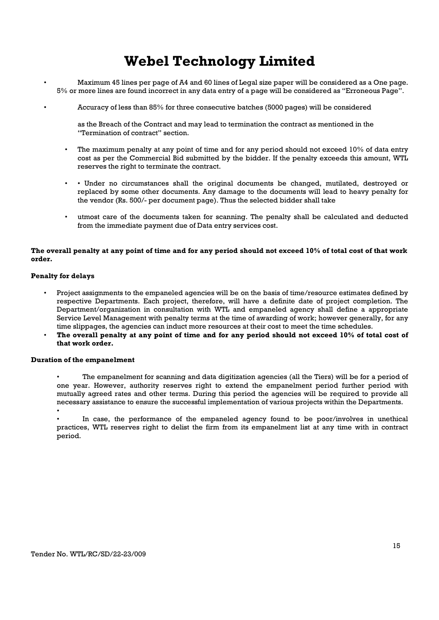- Maximum 45 lines per page of A4 and 60 lines of Legal size paper will be considered as a One page. 5% or more lines are found incorrect in any data entry of a page will be considered as "Erroneous Page".
	- Accuracy of less than 85% for three consecutive batches (5000 pages) will be considered

as the Breach of the Contract and may lead to termination the contract as mentioned in the "Termination of contract" section.

- The maximum penalty at any point of time and for any period should not exceed 10% of data entry cost as per the Commercial Bid submitted by the bidder. If the penalty exceeds this amount, WTL reserves the right to terminate the contract.
- • Under no circumstances shall the original documents be changed, mutilated, destroyed or replaced by some other documents. Any damage to the documents will lead to heavy penalty for the vendor (Rs. 500/- per document page). Thus the selected bidder shall take
- utmost care of the documents taken for scanning. The penalty shall be calculated and deducted from the immediate payment due of Data entry services cost.

#### The overall penalty at any point of time and for any period should not exceed 10% of total cost of that work order.

#### Penalty for delays

- Project assignments to the empaneled agencies will be on the basis of time/resource estimates defined by respective Departments. Each project, therefore, will have a definite date of project completion. The Department/organization in consultation with WTL and empaneled agency shall define a appropriate Service Level Management with penalty terms at the time of awarding of work; however generally, for any time slippages, the agencies can induct more resources at their cost to meet the time schedules.
- The overall penalty at any point of time and for any period should not exceed 10% of total cost of that work order.

#### Duration of the empanelment

- The empanelment for scanning and data digitization agencies (all the Tiers) will be for a period of one year. However, authority reserves right to extend the empanelment period further period with mutually agreed rates and other terms. During this period the agencies will be required to provide all necessary assistance to ensure the successful implementation of various projects within the Departments. •
- In case, the performance of the empaneled agency found to be poor/involves in unethical practices, WTL reserves right to delist the firm from its empanelment list at any time with in contract period.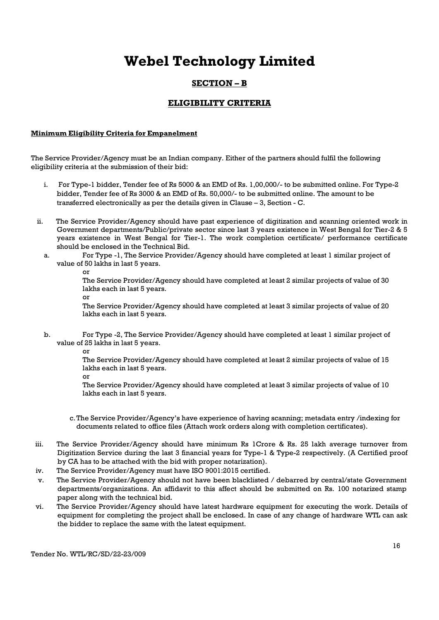### SECTION – B

### ELIGIBILITY CRITERIA

#### Minimum Eligibility Criteria for Empanelment

The Service Provider/Agency must be an Indian company. Either of the partners should fulfil the following eligibility criteria at the submission of their bid:

- i. For Type-1 bidder, Tender fee of Rs 5000 & an EMD of Rs. 1,00,000/- to be submitted online. For Type-2 bidder, Tender fee of Rs 3000 & an EMD of Rs. 50,000/- to be submitted online. The amount to be transferred electronically as per the details given in Clause – 3, Section - C.
- ii. The Service Provider/Agency should have past experience of digitization and scanning oriented work in Government departments/Public/private sector since last 3 years existence in West Bengal for Tier-2 & 5 years existence in West Bengal for Tier-1. The work completion certificate/ performance certificate should be enclosed in the Technical Bid.
	- a. For Type -1, The Service Provider/Agency should have completed at least 1 similar project of value of 50 lakhs in last 5 years.
		- or

The Service Provider/Agency should have completed at least 2 similar projects of value of 30 lakhs each in last 5 years.

or

The Service Provider/Agency should have completed at least 3 similar projects of value of 20 lakhs each in last 5 years.

- b. For Type -2, The Service Provider/Agency should have completed at least 1 similar project of value of 25 lakhs in last 5 years.
	- or

The Service Provider/Agency should have completed at least 2 similar projects of value of 15 lakhs each in last 5 years.

or

The Service Provider/Agency should have completed at least 3 similar projects of value of 10 lakhs each in last 5 years.

- c.The Service Provider/Agency's have experience of having scanning; metadata entry /indexing for documents related to office files (Attach work orders along with completion certificates).
- iii. The Service Provider/Agency should have minimum Rs 1Crore & Rs. 25 lakh average turnover from Digitization Service during the last 3 financial years for Type-1 & Type-2 respectively. (A Certified proof by CA has to be attached with the bid with proper notarization).
- iv. The Service Provider/Agency must have ISO 9001:2015 certified.
- v. The Service Provider/Agency should not have been blacklisted / debarred by central/state Government departments/organizations. An affidavit to this affect should be submitted on Rs. 100 notarized stamp paper along with the technical bid.
- vi. The Service Provider/Agency should have latest hardware equipment for executing the work. Details of equipment for completing the project shall be enclosed. In case of any change of hardware WTL can ask the bidder to replace the same with the latest equipment.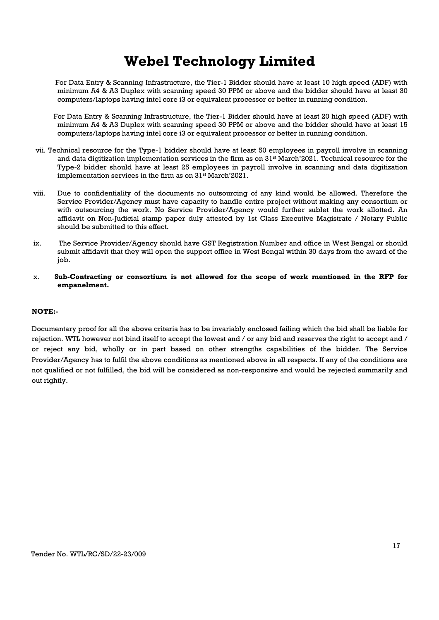For Data Entry & Scanning Infrastructure, the Tier-1 Bidder should have at least 10 high speed (ADF) with minimum A4 & A3 Duplex with scanning speed 30 PPM or above and the bidder should have at least 30 computers/laptops having intel core i3 or equivalent processor or better in running condition.

- For Data Entry & Scanning Infrastructure, the Tier-1 Bidder should have at least 20 high speed (ADF) with minimum A4 & A3 Duplex with scanning speed 30 PPM or above and the bidder should have at least 15 computers/laptops having intel core i3 or equivalent processor or better in running condition.
- vii. Technical resource for the Type-1 bidder should have at least 50 employees in payroll involve in scanning and data digitization implementation services in the firm as on 31<sup>st</sup> March'2021. Technical resource for the Type-2 bidder should have at least 25 employees in payroll involve in scanning and data digitization implementation services in the firm as on 31<sup>st</sup> March'2021.
- viii. Due to confidentiality of the documents no outsourcing of any kind would be allowed. Therefore the Service Provider/Agency must have capacity to handle entire project without making any consortium or with outsourcing the work. No Service Provider/Agency would further sublet the work allotted. An affidavit on Non-Judicial stamp paper duly attested by 1st Class Executive Magistrate / Notary Public should be submitted to this effect.
- ix. The Service Provider/Agency should have GST Registration Number and office in West Bengal or should submit affidavit that they will open the support office in West Bengal within 30 days from the award of the job.
- x. Sub-Contracting or consortium is not allowed for the scope of work mentioned in the RFP for empanelment.

#### NOTE:-

Documentary proof for all the above criteria has to be invariably enclosed failing which the bid shall be liable for rejection. WTL however not bind itself to accept the lowest and / or any bid and reserves the right to accept and / or reject any bid, wholly or in part based on other strengths capabilities of the bidder. The Service Provider/Agency has to fulfil the above conditions as mentioned above in all respects. If any of the conditions are not qualified or not fulfilled, the bid will be considered as non-responsive and would be rejected summarily and out rightly.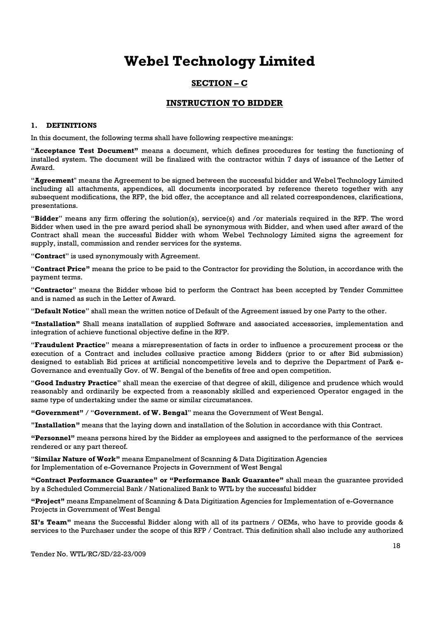### SECTION – C

### INSTRUCTION TO BIDDER

#### 1. DEFINITIONS

In this document, the following terms shall have following respective meanings:

"Acceptance Test Document" means a document, which defines procedures for testing the functioning of installed system. The document will be finalized with the contractor within 7 days of issuance of the Letter of Award.

"Agreement" means the Agreement to be signed between the successful bidder and Webel Technology Limited including all attachments, appendices, all documents incorporated by reference thereto together with any subsequent modifications, the RFP, the bid offer, the acceptance and all related correspondences, clarifications, presentations.

"Bidder" means any firm offering the solution(s), service(s) and /or materials required in the RFP. The word Bidder when used in the pre award period shall be synonymous with Bidder, and when used after award of the Contract shall mean the successful Bidder with whom Webel Technology Limited signs the agreement for supply, install, commission and render services for the systems.

"Contract" is used synonymously with Agreement.

"Contract Price" means the price to be paid to the Contractor for providing the Solution, in accordance with the payment terms.

"Contractor" means the Bidder whose bid to perform the Contract has been accepted by Tender Committee and is named as such in the Letter of Award.

"Default Notice" shall mean the written notice of Default of the Agreement issued by one Party to the other.

"Installation" Shall means installation of supplied Software and associated accessories, implementation and integration of achieve functional objective define in the RFP.

"Fraudulent Practice" means a misrepresentation of facts in order to influence a procurement process or the execution of a Contract and includes collusive practice among Bidders (prior to or after Bid submission) designed to establish Bid prices at artificial noncompetitive levels and to deprive the Department of Par& e-Governance and eventually Gov. of W. Bengal of the benefits of free and open competition.

"Good Industry Practice" shall mean the exercise of that degree of skill, diligence and prudence which would reasonably and ordinarily be expected from a reasonably skilled and experienced Operator engaged in the same type of undertaking under the same or similar circumstances.

"Government" / "Government. of W. Bengal" means the Government of West Bengal.

"Installation" means that the laying down and installation of the Solution in accordance with this Contract.

"Personnel" means persons hired by the Bidder as employees and assigned to the performance of the services rendered or any part thereof.

"Similar Nature of Work" means Empanelment of Scanning & Data Digitization Agencies for Implementation of e-Governance Projects in Government of West Bengal

"Contract Performance Guarantee" or "Performance Bank Guarantee" shall mean the guarantee provided by a Scheduled Commercial Bank / Nationalized Bank to WTL by the successful bidder

"Project" means Empanelment of Scanning & Data Digitization Agencies for Implementation of e-Governance Projects in Government of West Bengal

SI's Team" means the Successful Bidder along with all of its partners / OEMs, who have to provide goods & services to the Purchaser under the scope of this RFP / Contract. This definition shall also include any authorized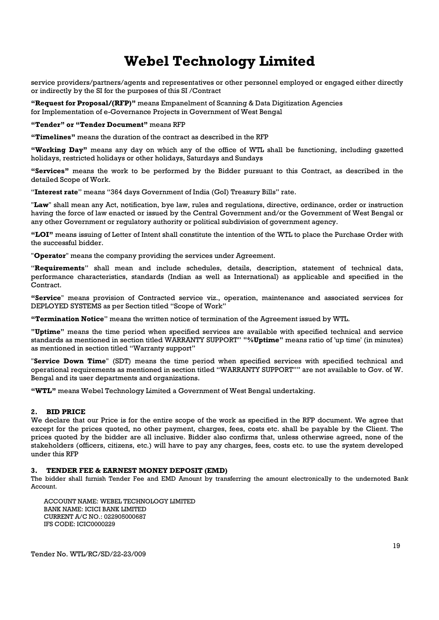service providers/partners/agents and representatives or other personnel employed or engaged either directly or indirectly by the SI for the purposes of this SI /Contract

"Request for Proposal/(RFP)" means Empanelment of Scanning & Data Digitization Agencies for Implementation of e-Governance Projects in Government of West Bengal

"Tender" or "Tender Document" means RFP

"Timelines" means the duration of the contract as described in the RFP

"Working Day" means any day on which any of the office of WTL shall be functioning, including gazetted holidays, restricted holidays or other holidays, Saturdays and Sundays

"Services" means the work to be performed by the Bidder pursuant to this Contract, as described in the detailed Scope of Work.

"Interest rate" means "364 days Government of India (GoI) Treasury Bills" rate.

"Law" shall mean any Act, notification, bye law, rules and regulations, directive, ordinance, order or instruction having the force of law enacted or issued by the Central Government and/or the Government of West Bengal or any other Government or regulatory authority or political subdivision of government agency.

"LOI" means issuing of Letter of Intent shall constitute the intention of the WTL to place the Purchase Order with the successful bidder.

"Operator" means the company providing the services under Agreement.

"Requirements" shall mean and include schedules, details, description, statement of technical data, performance characteristics, standards (Indian as well as International) as applicable and specified in the Contract.

"Service" means provision of Contracted service viz., operation, maintenance and associated services for DEPLOYED SYSTEMS as per Section titled "Scope of Work"

"Termination Notice" means the written notice of termination of the Agreement issued by WTL.

"Uptime" means the time period when specified services are available with specified technical and service standards as mentioned in section titled WARRANTY SUPPORT" "%Uptime" means ratio of 'up time' (in minutes) as mentioned in section titled "Warranty support"

"Service Down Time" (SDT) means the time period when specified services with specified technical and operational requirements as mentioned in section titled "WARRANTY SUPPORT"" are not available to Gov. of W. Bengal and its user departments and organizations.

"WTL" means Webel Technology Limited a Government of West Bengal undertaking.

#### 2. BID PRICE

We declare that our Price is for the entire scope of the work as specified in the RFP document. We agree that except for the prices quoted, no other payment, charges, fees, costs etc. shall be payable by the Client. The prices quoted by the bidder are all inclusive. Bidder also confirms that, unless otherwise agreed, none of the stakeholders (officers, citizens, etc.) will have to pay any charges, fees, costs etc. to use the system developed under this RFP

#### 3. TENDER FEE & EARNEST MONEY DEPOSIT (EMD)

The bidder shall furnish Tender Fee and EMD Amount by transferring the amount electronically to the undernoted Bank Account.

ACCOUNT NAME: WEBEL TECHNOLOGY LIMITED BANK NAME: ICICI BANK LIMITED CURRENT A/C NO.: 022905000687 IFS CODE: ICIC0000229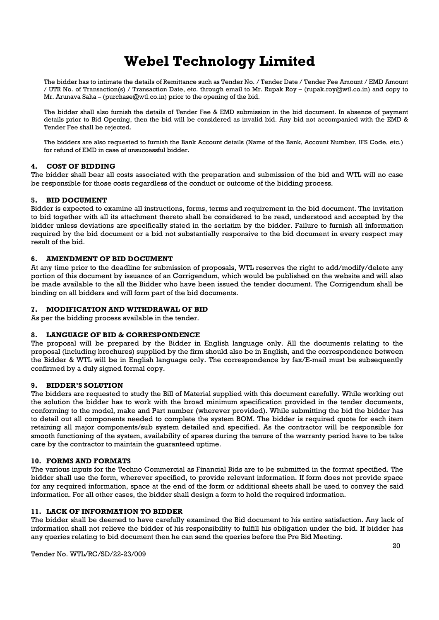The bidder has to intimate the details of Remittance such as Tender No. / Tender Date / Tender Fee Amount / EMD Amount / UTR No. of Transaction(s) / Transaction Date, etc. through email to Mr. Rupak Roy – (rupak.roy@wtl.co.in) and copy to Mr. Arunava Saha – (purchase@wtl.co.in) prior to the opening of the bid.

The bidder shall also furnish the details of Tender Fee & EMD submission in the bid document. In absence of payment details prior to Bid Opening, then the bid will be considered as invalid bid. Any bid not accompanied with the EMD & Tender Fee shall be rejected.

The bidders are also requested to furnish the Bank Account details (Name of the Bank, Account Number, IFS Code, etc.) for refund of EMD in case of unsuccessful bidder.

#### 4. COST OF BIDDING

The bidder shall bear all costs associated with the preparation and submission of the bid and WTL will no case be responsible for those costs regardless of the conduct or outcome of the bidding process.

#### 5. BID DOCUMENT

Bidder is expected to examine all instructions, forms, terms and requirement in the bid document. The invitation to bid together with all its attachment thereto shall be considered to be read, understood and accepted by the bidder unless deviations are specifically stated in the seriatim by the bidder. Failure to furnish all information required by the bid document or a bid not substantially responsive to the bid document in every respect may result of the bid.

#### 6. AMENDMENT OF BID DOCUMENT

At any time prior to the deadline for submission of proposals, WTL reserves the right to add/modify/delete any portion of this document by issuance of an Corrigendum, which would be published on the website and will also be made available to the all the Bidder who have been issued the tender document. The Corrigendum shall be binding on all bidders and will form part of the bid documents.

#### 7. MODIFICATION AND WITHDRAWAL OF BID

As per the bidding process available in the tender.

#### 8. LANGUAGE OF BID & CORRESPONDENCE

The proposal will be prepared by the Bidder in English language only. All the documents relating to the proposal (including brochures) supplied by the firm should also be in English, and the correspondence between the Bidder & WTL will be in English language only. The correspondence by fax/E-mail must be subsequently confirmed by a duly signed formal copy.

#### 9. BIDDER'S SOLUTION

The bidders are requested to study the Bill of Material supplied with this document carefully. While working out the solution the bidder has to work with the broad minimum specification provided in the tender documents, conforming to the model, make and Part number (wherever provided). While submitting the bid the bidder has to detail out all components needed to complete the system BOM. The bidder is required quote for each item retaining all major components/sub system detailed and specified. As the contractor will be responsible for smooth functioning of the system, availability of spares during the tenure of the warranty period have to be take care by the contractor to maintain the guaranteed uptime.

#### 10. FORMS AND FORMATS

The various inputs for the Techno Commercial as Financial Bids are to be submitted in the format specified. The bidder shall use the form, wherever specified, to provide relevant information. If form does not provide space for any required information, space at the end of the form or additional sheets shall be used to convey the said information. For all other cases, the bidder shall design a form to hold the required information.

#### 11. LACK OF INFORMATION TO BIDDER

The bidder shall be deemed to have carefully examined the Bid document to his entire satisfaction. Any lack of information shall not relieve the bidder of his responsibility to fulfill his obligation under the bid. If bidder has any queries relating to bid document then he can send the queries before the Pre Bid Meeting.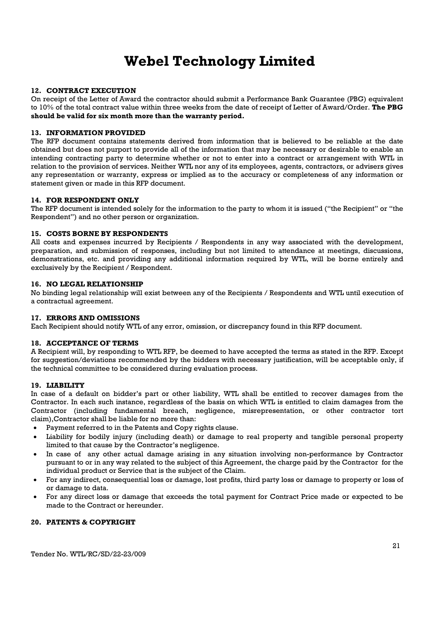#### 12. CONTRACT EXECUTION

On receipt of the Letter of Award the contractor should submit a Performance Bank Guarantee (PBG) equivalent to 10% of the total contract value within three weeks from the date of receipt of Letter of Award/Order. The PBG should be valid for six month more than the warranty period.

#### 13. INFORMATION PROVIDED

The RFP document contains statements derived from information that is believed to be reliable at the date obtained but does not purport to provide all of the information that may be necessary or desirable to enable an intending contracting party to determine whether or not to enter into a contract or arrangement with WTL in relation to the provision of services. Neither WTL nor any of its employees, agents, contractors, or advisers gives any representation or warranty, express or implied as to the accuracy or completeness of any information or statement given or made in this RFP document.

#### 14. FOR RESPONDENT ONLY

The RFP document is intended solely for the information to the party to whom it is issued ("the Recipient" or "the Respondent") and no other person or organization.

#### 15. COSTS BORNE BY RESPONDENTS

All costs and expenses incurred by Recipients / Respondents in any way associated with the development, preparation, and submission of responses, including but not limited to attendance at meetings, discussions, demonstrations, etc. and providing any additional information required by WTL, will be borne entirely and exclusively by the Recipient / Respondent.

#### 16. NO LEGAL RELATIONSHIP

No binding legal relationship will exist between any of the Recipients / Respondents and WTL until execution of a contractual agreement.

#### 17. ERRORS AND OMISSIONS

Each Recipient should notify WTL of any error, omission, or discrepancy found in this RFP document.

#### 18. ACCEPTANCE OF TERMS

A Recipient will, by responding to WTL RFP, be deemed to have accepted the terms as stated in the RFP. Except for suggestion/deviations recommended by the bidders with necessary justification, will be acceptable only, if the technical committee to be considered during evaluation process.

#### 19. LIABILITY

In case of a default on bidder's part or other liability, WTL shall be entitled to recover damages from the Contractor. In each such instance, regardless of the basis on which WTL is entitled to claim damages from the Contractor (including fundamental breach, negligence, misrepresentation, or other contractor tort claim),Contractor shall be liable for no more than:

- Payment referred to in the Patents and Copy rights clause.
- Liability for bodily injury (including death) or damage to real property and tangible personal property limited to that cause by the Contractor's negligence.
- In case of any other actual damage arising in any situation involving non-performance by Contractor pursuant to or in any way related to the subject of this Agreement, the charge paid by the Contractor for the individual product or Service that is the subject of the Claim.
- For any indirect, consequential loss or damage, lost profits, third party loss or damage to property or loss of or damage to data.
- For any direct loss or damage that exceeds the total payment for Contract Price made or expected to be made to the Contract or hereunder.

### 20. PATENTS & COPYRIGHT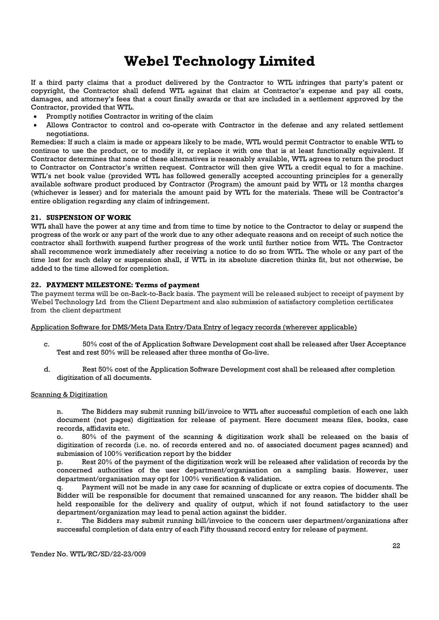If a third party claims that a product delivered by the Contractor to WTL infringes that party's patent or copyright, the Contractor shall defend WTL against that claim at Contractor's expense and pay all costs, damages, and attorney's fees that a court finally awards or that are included in a settlement approved by the Contractor, provided that WTL.

- Promptly notifies Contractor in writing of the claim
- Allows Contractor to control and co-operate with Contractor in the defense and any related settlement negotiations.

Remedies: If such a claim is made or appears likely to be made, WTL would permit Contractor to enable WTL to continue to use the product, or to modify it, or replace it with one that is at least functionally equivalent. If Contractor determines that none of these alternatives is reasonably available, WTL agrees to return the product to Contractor on Contractor's written request. Contractor will then give WTL a credit equal to for a machine. WTL's net book value (provided WTL has followed generally accepted accounting principles for a generally available software product produced by Contractor (Program) the amount paid by WTL or 12 months charges (whichever is lesser) and for materials the amount paid by WTL for the materials. These will be Contractor's entire obligation regarding any claim of infringement.

#### 21. SUSPENSION OF WORK

WTL shall have the power at any time and from time to time by notice to the Contractor to delay or suspend the progress of the work or any part of the work due to any other adequate reasons and on receipt of such notice the contractor shall forthwith suspend further progress of the work until further notice from WTL. The Contractor shall recommence work immediately after receiving a notice to do so from WTL. The whole or any part of the time lost for such delay or suspension shall, if WTL in its absolute discretion thinks fit, but not otherwise, be added to the time allowed for completion.

#### 22. PAYMENT MILESTONE: Terms of payment

The payment terms will be on-Back-to-Back basis. The payment will be released subject to receipt of payment by Webel Technology Ltd from the Client Department and also submission of satisfactory completion certificates from the client department

Application Software for DMS/Meta Data Entry/Data Entry of legacy records (wherever applicable)

- c. 50% cost of the of Application Software Development cost shall be released after User Acceptance Test and rest 50% will be released after three months of Go-live.
- d. Rest 50% cost of the Application Software Development cost shall be released after completion digitization of all documents.

#### Scanning & Digitization

n. The Bidders may submit running bill/invoice to WTL after successful completion of each one lakh document (not pages) digitization for release of payment. Here document means files, books, case records, affidavits etc.

o. 80% of the payment of the scanning & digitization work shall be released on the basis of digitization of records (i.e. no. of records entered and no. of associated document pages scanned) and submission of 100% verification report by the bidder

p. Rest 20% of the payment of the digitization work will be released after validation of records by the concerned authorities of the user department/organisation on a sampling basis. However, user department/organisation may opt for 100% verification & validation.

Payment will not be made in any case for scanning of duplicate or extra copies of documents. The Bidder will be responsible for document that remained unscanned for any reason. The bidder shall be held responsible for the delivery and quality of output, which if not found satisfactory to the user department/organization may lead to penal action against the bidder.

r. The Bidders may submit running bill/invoice to the concern user department/organizations after successful completion of data entry of each Fifty thousand record entry for release of payment.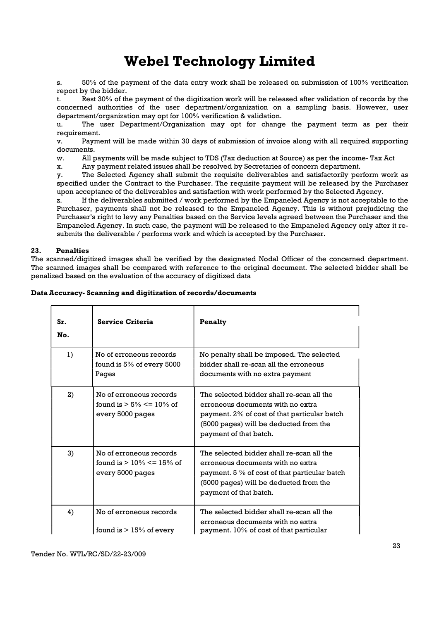s. 50% of the payment of the data entry work shall be released on submission of 100% verification report by the bidder.

t. Rest 30% of the payment of the digitization work will be released after validation of records by the concerned authorities of the user department/organization on a sampling basis. However, user department/organization may opt for 100% verification & validation.

u. The user Department/Organization may opt for change the payment term as per their requirement.

v. Payment will be made within 30 days of submission of invoice along with all required supporting documents.

w. All payments will be made subject to TDS (Tax deduction at Source) as per the income- Tax Act

x. Any payment related issues shall be resolved by Secretaries of concern department.

y. The Selected Agency shall submit the requisite deliverables and satisfactorily perform work as specified under the Contract to the Purchaser. The requisite payment will be released by the Purchaser upon acceptance of the deliverables and satisfaction with work performed by the Selected Agency.

z. If the deliverables submitted / work performed by the Empaneled Agency is not acceptable to the Purchaser, payments shall not be released to the Empaneled Agency. This is without prejudicing the Purchaser's right to levy any Penalties based on the Service levels agreed between the Purchaser and the Empaneled Agency. In such case, the payment will be released to the Empaneled Agency only after it resubmits the deliverable / performs work and which is accepted by the Purchaser.

#### 23. Penalties

The scanned/digitized images shall be verified by the designated Nodal Officer of the concerned department. The scanned images shall be compared with reference to the original document. The selected bidder shall be penalized based on the evaluation of the accuracy of digitized data

| Sr.<br>No. | <b>Service Criteria</b>                                                      | Penalty                                                                                                                                                                                             |
|------------|------------------------------------------------------------------------------|-----------------------------------------------------------------------------------------------------------------------------------------------------------------------------------------------------|
| 1)         | No of erroneous records<br>found is $5\%$ of every $5000$<br>Pages           | No penalty shall be imposed. The selected<br>bidder shall re-scan all the erroneous<br>documents with no extra payment                                                                              |
| 2)         | No of erroneous records<br>found is $> 5\% \le 10\%$ of<br>every 5000 pages  | The selected bidder shall re-scan all the<br>erroneous documents with no extra<br>payment. 2% of cost of that particular batch<br>(5000 pages) will be deducted from the<br>payment of that batch.  |
| 3)         | No of erroneous records<br>found is $> 10\% \le 15\%$ of<br>every 5000 pages | The selected bidder shall re-scan all the<br>erroneous documents with no extra<br>payment. 5 % of cost of that particular batch<br>(5000 pages) will be deducted from the<br>payment of that batch. |
| 4)         | No of erroneous records<br>found is $> 15\%$ of every                        | The selected bidder shall re-scan all the<br>erroneous documents with no extra<br>payment. 10% of cost of that particular                                                                           |

#### Data Accuracy- Scanning and digitization of records/documents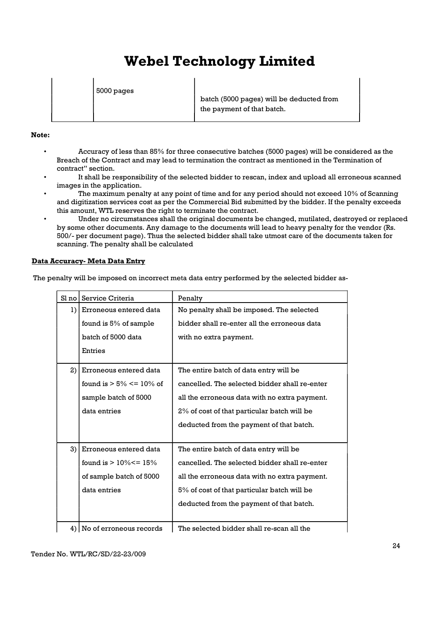5000 pages

 batch (5000 pages) will be deducted from the payment of that batch.

#### Note:

 $\overline{\phantom{a}}$ 

- Accuracy of less than 85% for three consecutive batches (5000 pages) will be considered as the Breach of the Contract and may lead to termination the contract as mentioned in the Termination of contract" section.
- It shall be responsibility of the selected bidder to rescan, index and upload all erroneous scanned images in the application.
- The maximum penalty at any point of time and for any period should not exceed 10% of Scanning and digitization services cost as per the Commercial Bid submitted by the bidder. If the penalty exceeds this amount, WTL reserves the right to terminate the contract.
- Under no circumstances shall the original documents be changed, mutilated, destroyed or replaced by some other documents. Any damage to the documents will lead to heavy penalty for the vendor (Rs. 500/- per document page). Thus the selected bidder shall take utmost care of the documents taken for scanning. The penalty shall be calculated

### Data Accuracy- Meta Data Entry

The penalty will be imposed on incorrect meta data entry performed by the selected bidder as-

| Sl no | Service Criteria             | Penalty                                       |
|-------|------------------------------|-----------------------------------------------|
| 1)    | Erroneous entered data       | No penalty shall be imposed. The selected     |
|       | found is 5% of sample        | bidder shall re-enter all the erroneous data  |
|       | batch of 5000 data           | with no extra payment.                        |
|       | Entries                      |                                               |
| 2)    | Erroneous entered data       | The entire batch of data entry will be        |
|       | found is $> 5\% \le 10\%$ of | cancelled. The selected bidder shall re-enter |
|       | sample batch of 5000         | all the erroneous data with no extra payment. |
|       | data entries                 | 2% of cost of that particular batch will be   |
|       |                              | deducted from the payment of that batch.      |
|       |                              |                                               |
| 3)    | Erroneous entered data       | The entire batch of data entry will be        |
|       | found is $> 10\% < = 15\%$   | cancelled. The selected bidder shall re-enter |
|       | of sample batch of 5000      | all the erroneous data with no extra payment. |
|       | data entries                 | 5% of cost of that particular batch will be   |
|       |                              | deducted from the payment of that batch.      |
|       |                              |                                               |
| 4)    | No of erroneous records      | The selected bidder shall re-scan all the     |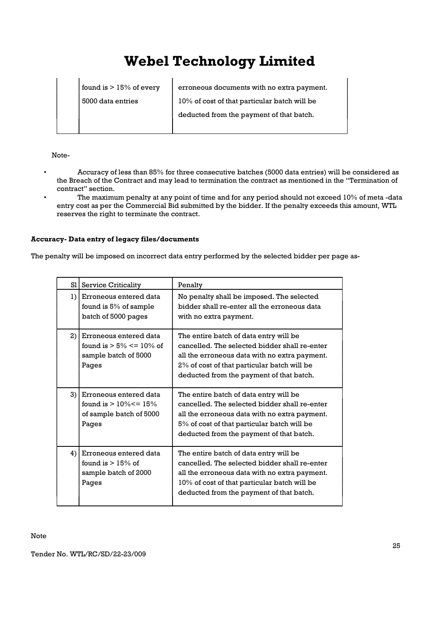found is  $> 15\%$  of every erroneous documents with no extra payment. 5000 data entries 10% of cost of that particular batch will be deducted from the payment of that batch.

Note-

 $\overline{\phantom{a}}$ 

- Accuracy of less than 85% for three consecutive batches (5000 data entries) will be considered as the Breach of the Contract and may lead to termination the contract as mentioned in the "Termination of contract" section.
- The maximum penalty at any point of time and for any period should not exceed 10% of meta -data entry cost as per the Commercial Bid submitted by the bidder. If the penalty exceeds this amount, WTL reserves the right to terminate the contract.

#### Accuracy- Data entry of legacy files/documents

The penalty will be imposed on incorrect data entry performed by the selected bidder per page as-

| S1           | <b>Service Criticality</b>                                                               | Penalty                                                                                                                                                                                                                              |
|--------------|------------------------------------------------------------------------------------------|--------------------------------------------------------------------------------------------------------------------------------------------------------------------------------------------------------------------------------------|
| $\mathbf{I}$ | Erroneous entered data<br>found is 5% of sample<br>batch of 5000 pages                   | No penalty shall be imposed. The selected<br>bidder shall re-enter all the erroneous data<br>with no extra payment.                                                                                                                  |
| 2)           | Erroneous entered data<br>found is $> 5\% \le 10\%$ of<br>sample batch of 5000<br>Pages  | The entire batch of data entry will be<br>cancelled. The selected bidder shall re-enter<br>all the erroneous data with no extra payment.<br>2% of cost of that particular batch will be<br>deducted from the payment of that batch.  |
| 3)           | Erroneous entered data<br>found is $> 10\% < = 15\%$<br>of sample batch of 5000<br>Pages | The entire batch of data entry will be<br>cancelled. The selected bidder shall re-enter<br>all the erroneous data with no extra payment.<br>5% of cost of that particular batch will be<br>deducted from the payment of that batch.  |
| 4)           | Erroneous entered data<br>found is $> 15\%$ of<br>sample batch of 2000<br>Pages          | The entire batch of data entry will be<br>cancelled. The selected bidder shall re-enter<br>all the erroneous data with no extra payment.<br>10% of cost of that particular batch will be<br>deducted from the payment of that batch. |

Note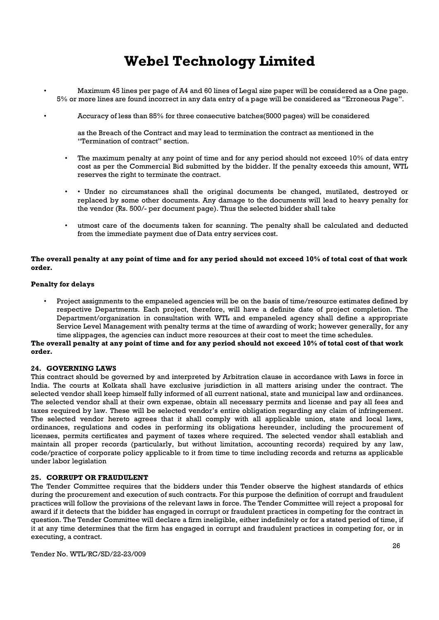- Maximum 45 lines per page of A4 and 60 lines of Legal size paper will be considered as a One page. 5% or more lines are found incorrect in any data entry of a page will be considered as "Erroneous Page".
	- Accuracy of less than 85% for three consecutive batches(5000 pages) will be considered

as the Breach of the Contract and may lead to termination the contract as mentioned in the "Termination of contract" section.

- The maximum penalty at any point of time and for any period should not exceed 10% of data entry cost as per the Commercial Bid submitted by the bidder. If the penalty exceeds this amount, WTL reserves the right to terminate the contract.
- • Under no circumstances shall the original documents be changed, mutilated, destroyed or replaced by some other documents. Any damage to the documents will lead to heavy penalty for the vendor (Rs. 500/- per document page). Thus the selected bidder shall take
- utmost care of the documents taken for scanning. The penalty shall be calculated and deducted from the immediate payment due of Data entry services cost.

#### The overall penalty at any point of time and for any period should not exceed 10% of total cost of that work order.

#### Penalty for delays

• Project assignments to the empaneled agencies will be on the basis of time/resource estimates defined by respective Departments. Each project, therefore, will have a definite date of project completion. The Department/organization in consultation with WTL and empaneled agency shall define a appropriate Service Level Management with penalty terms at the time of awarding of work; however generally, for any time slippages, the agencies can induct more resources at their cost to meet the time schedules.

The overall penalty at any point of time and for any period should not exceed 10% of total cost of that work order.

#### 24. GOVERNING LAWS

This contract should be governed by and interpreted by Arbitration clause in accordance with Laws in force in India. The courts at Kolkata shall have exclusive jurisdiction in all matters arising under the contract. The selected vendor shall keep himself fully informed of all current national, state and municipal law and ordinances. The selected vendor shall at their own expense, obtain all necessary permits and license and pay all fees and taxes required by law. These will be selected vendor's entire obligation regarding any claim of infringement. The selected vendor hereto agrees that it shall comply with all applicable union, state and local laws, ordinances, regulations and codes in performing its obligations hereunder, including the procurement of licenses, permits certificates and payment of taxes where required. The selected vendor shall establish and maintain all proper records (particularly, but without limitation, accounting records) required by any law, code/practice of corporate policy applicable to it from time to time including records and returns as applicable under labor legislation

#### 25. CORRUPT OR FRAUDULENT

The Tender Committee requires that the bidders under this Tender observe the highest standards of ethics during the procurement and execution of such contracts. For this purpose the definition of corrupt and fraudulent practices will follow the provisions of the relevant laws in force. The Tender Committee will reject a proposal for award if it detects that the bidder has engaged in corrupt or fraudulent practices in competing for the contract in question. The Tender Committee will declare a firm ineligible, either indefinitely or for a stated period of time, if it at any time determines that the firm has engaged in corrupt and fraudulent practices in competing for, or in executing, a contract.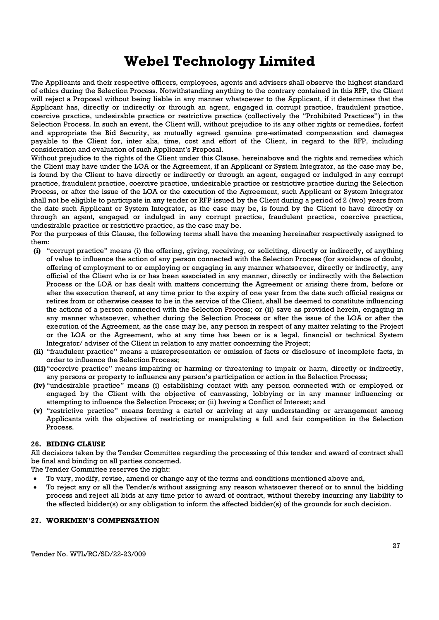The Applicants and their respective officers, employees, agents and advisers shall observe the highest standard of ethics during the Selection Process. Notwithstanding anything to the contrary contained in this RFP, the Client will reject a Proposal without being liable in any manner whatsoever to the Applicant, if it determines that the Applicant has, directly or indirectly or through an agent, engaged in corrupt practice, fraudulent practice, coercive practice, undesirable practice or restrictive practice (collectively the "Prohibited Practices") in the Selection Process. In such an event, the Client will, without prejudice to its any other rights or remedies, forfeit and appropriate the Bid Security, as mutually agreed genuine pre-estimated compensation and damages payable to the Client for, inter alia, time, cost and effort of the Client, in regard to the RFP, including consideration and evaluation of such Applicant's Proposal.

Without prejudice to the rights of the Client under this Clause, hereinabove and the rights and remedies which the Client may have under the LOA or the Agreement, if an Applicant or System Integrator, as the case may be, is found by the Client to have directly or indirectly or through an agent, engaged or indulged in any corrupt practice, fraudulent practice, coercive practice, undesirable practice or restrictive practice during the Selection Process, or after the issue of the LOA or the execution of the Agreement, such Applicant or System Integrator shall not be eligible to participate in any tender or RFP issued by the Client during a period of 2 (two) years from the date such Applicant or System Integrator, as the case may be, is found by the Client to have directly or through an agent, engaged or indulged in any corrupt practice, fraudulent practice, coercive practice, undesirable practice or restrictive practice, as the case may be.

For the purposes of this Clause, the following terms shall have the meaning hereinafter respectively assigned to them:

- (i) "corrupt practice" means (i) the offering, giving, receiving, or soliciting, directly or indirectly, of anything of value to influence the action of any person connected with the Selection Process (for avoidance of doubt, offering of employment to or employing or engaging in any manner whatsoever, directly or indirectly, any official of the Client who is or has been associated in any manner, directly or indirectly with the Selection Process or the LOA or has dealt with matters concerning the Agreement or arising there from, before or after the execution thereof, at any time prior to the expiry of one year from the date such official resigns or retires from or otherwise ceases to be in the service of the Client, shall be deemed to constitute influencing the actions of a person connected with the Selection Process; or (ii) save as provided herein, engaging in any manner whatsoever, whether during the Selection Process or after the issue of the LOA or after the execution of the Agreement, as the case may be, any person in respect of any matter relating to the Project or the LOA or the Agreement, who at any time has been or is a legal, financial or technical System Integrator/ adviser of the Client in relation to any matter concerning the Project;
- (ii) "fraudulent practice" means a misrepresentation or omission of facts or disclosure of incomplete facts, in order to influence the Selection Process;
- (iii) "coercive practice" means impairing or harming or threatening to impair or harm, directly or indirectly, any persons or property to influence any person's participation or action in the Selection Process;
- (iv) "undesirable practice" means (i) establishing contact with any person connected with or employed or engaged by the Client with the objective of canvassing, lobbying or in any manner influencing or attempting to influence the Selection Process; or (ii) having a Conflict of Interest; and
- (v) "restrictive practice" means forming a cartel or arriving at any understanding or arrangement among Applicants with the objective of restricting or manipulating a full and fair competition in the Selection Process.

#### 26. BIDING CLAUSE

All decisions taken by the Tender Committee regarding the processing of this tender and award of contract shall be final and binding on all parties concerned.

The Tender Committee reserves the right:

- To vary, modify, revise, amend or change any of the terms and conditions mentioned above and,
- To reject any or all the Tender/s without assigning any reason whatsoever thereof or to annul the bidding process and reject all bids at any time prior to award of contract, without thereby incurring any liability to the affected bidder(s) or any obligation to inform the affected bidder(s) of the grounds for such decision.

#### 27. WORKMEN'S COMPENSATION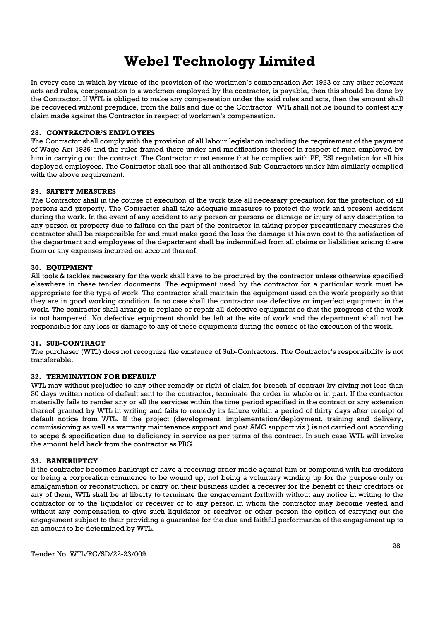In every case in which by virtue of the provision of the workmen's compensation Act 1923 or any other relevant acts and rules, compensation to a workmen employed by the contractor, is payable, then this should be done by the Contractor. If WTL is obliged to make any compensation under the said rules and acts, then the amount shall be recovered without prejudice, from the bills and due of the Contractor. WTL shall not be bound to contest any claim made against the Contractor in respect of workmen's compensation.

#### 28. CONTRACTOR'S EMPLOYEES

The Contractor shall comply with the provision of all labour legislation including the requirement of the payment of Wage Act 1936 and the rules framed there under and modifications thereof in respect of men employed by him in carrying out the contract. The Contractor must ensure that he complies with PF, ESI regulation for all his deployed employees. The Contractor shall see that all authorized Sub Contractors under him similarly complied with the above requirement.

#### 29. SAFETY MEASURES

The Contractor shall in the course of execution of the work take all necessary precaution for the protection of all persons and property. The Contractor shall take adequate measures to protect the work and present accident during the work. In the event of any accident to any person or persons or damage or injury of any description to any person or property due to failure on the part of the contractor in taking proper precautionary measures the contractor shall be responsible for and must make good the loss the damage at his own cost to the satisfaction of the department and employees of the department shall be indemnified from all claims or liabilities arising there from or any expenses incurred on account thereof.

#### 30. EQUIPMENT

All tools & tackles necessary for the work shall have to be procured by the contractor unless otherwise specified elsewhere in these tender documents. The equipment used by the contractor for a particular work must be appropriate for the type of work. The contractor shall maintain the equipment used on the work properly so that they are in good working condition. In no case shall the contractor use defective or imperfect equipment in the work. The contractor shall arrange to replace or repair all defective equipment so that the progress of the work is not hampered. No defective equipment should be left at the site of work and the department shall not be responsible for any loss or damage to any of these equipments during the course of the execution of the work.

#### 31. SUB-CONTRACT

The purchaser (WTL) does not recognize the existence of Sub-Contractors. The Contractor's responsibility is not transferable.

#### 32. TERMINATION FOR DEFAULT

WTL may without prejudice to any other remedy or right of claim for breach of contract by giving not less than 30 days written notice of default sent to the contractor, terminate the order in whole or in part. If the contractor materially fails to render any or all the services within the time period specified in the contract or any extension thereof granted by WTL in writing and fails to remedy its failure within a period of thirty days after receipt of default notice from WTL. If the project (development, implementation/deployment, training and delivery, commissioning as well as warranty maintenance support and post AMC support viz.) is not carried out according to scope & specification due to deficiency in service as per terms of the contract. In such case WTL will invoke the amount held back from the contractor as PBG.

#### 33. BANKRUPTCY

If the contractor becomes bankrupt or have a receiving order made against him or compound with his creditors or being a corporation commence to be wound up, not being a voluntary winding up for the purpose only or amalgamation or reconstruction, or carry on their business under a receiver for the benefit of their creditors or any of them, WTL shall be at liberty to terminate the engagement forthwith without any notice in writing to the contractor or to the liquidator or receiver or to any person in whom the contractor may become vested and without any compensation to give such liquidator or receiver or other person the option of carrying out the engagement subject to their providing a guarantee for the due and faithful performance of the engagement up to an amount to be determined by WTL.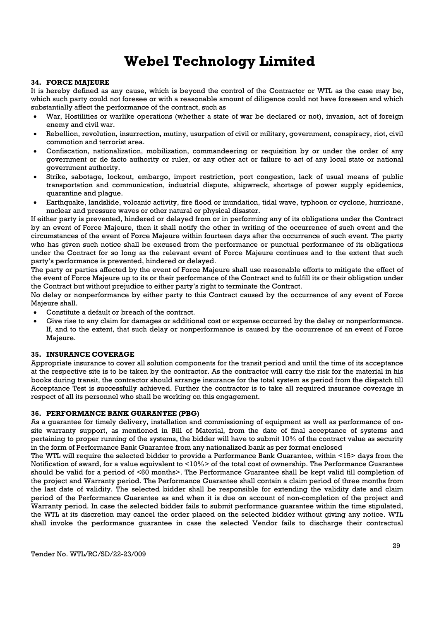#### 34. FORCE MAJEURE

It is hereby defined as any cause, which is beyond the control of the Contractor or WTL as the case may be, which such party could not foresee or with a reasonable amount of diligence could not have foreseen and which substantially affect the performance of the contract, such as

- War, Hostilities or warlike operations (whether a state of war be declared or not), invasion, act of foreign enemy and civil war.
- Rebellion, revolution, insurrection, mutiny, usurpation of civil or military, government, conspiracy, riot, civil commotion and terrorist area.
- Confiscation, nationalization, mobilization, commandeering or requisition by or under the order of any government or de facto authority or ruler, or any other act or failure to act of any local state or national government authority.
- Strike, sabotage, lockout, embargo, import restriction, port congestion, lack of usual means of public transportation and communication, industrial dispute, shipwreck, shortage of power supply epidemics, quarantine and plague.
- Earthquake, landslide, volcanic activity, fire flood or inundation, tidal wave, typhoon or cyclone, hurricane, nuclear and pressure waves or other natural or physical disaster.

If either party is prevented, hindered or delayed from or in performing any of its obligations under the Contract by an event of Force Majeure, then it shall notify the other in writing of the occurrence of such event and the circumstances of the event of Force Majeure within fourteen days after the occurrence of such event. The party who has given such notice shall be excused from the performance or punctual performance of its obligations under the Contract for so long as the relevant event of Force Majeure continues and to the extent that such party's performance is prevented, hindered or delayed.

The party or parties affected by the event of Force Majeure shall use reasonable efforts to mitigate the effect of the event of Force Majeure up to its or their performance of the Contract and to fulfill its or their obligation under the Contract but without prejudice to either party's right to terminate the Contract.

No delay or nonperformance by either party to this Contract caused by the occurrence of any event of Force Majeure shall.

- Constitute a default or breach of the contract.
- Give rise to any claim for damages or additional cost or expense occurred by the delay or nonperformance. If, and to the extent, that such delay or nonperformance is caused by the occurrence of an event of Force Majeure.

#### 35. INSURANCE COVERAGE

Appropriate insurance to cover all solution components for the transit period and until the time of its acceptance at the respective site is to be taken by the contractor. As the contractor will carry the risk for the material in his books during transit, the contractor should arrange insurance for the total system as period from the dispatch till Acceptance Test is successfully achieved. Further the contractor is to take all required insurance coverage in respect of all its personnel who shall be working on this engagement.

#### 36. PERFORMANCE BANK GUARANTEE (PBG)

As a guarantee for timely delivery, installation and commissioning of equipment as well as performance of onsite warranty support, as mentioned in Bill of Material, from the date of final acceptance of systems and pertaining to proper running of the systems, the bidder will have to submit 10% of the contract value as security in the form of Performance Bank Guarantee from any nationalized bank as per format enclosed

The WTL will require the selected bidder to provide a Performance Bank Guarantee, within <15> days from the Notification of award, for a value equivalent to <10%> of the total cost of ownership. The Performance Guarantee should be valid for a period of <60 months>. The Performance Guarantee shall be kept valid till completion of the project and Warranty period. The Performance Guarantee shall contain a claim period of three months from the last date of validity. The selected bidder shall be responsible for extending the validity date and claim period of the Performance Guarantee as and when it is due on account of non-completion of the project and Warranty period. In case the selected bidder fails to submit performance guarantee within the time stipulated, the WTL at its discretion may cancel the order placed on the selected bidder without giving any notice. WTL shall invoke the performance guarantee in case the selected Vendor fails to discharge their contractual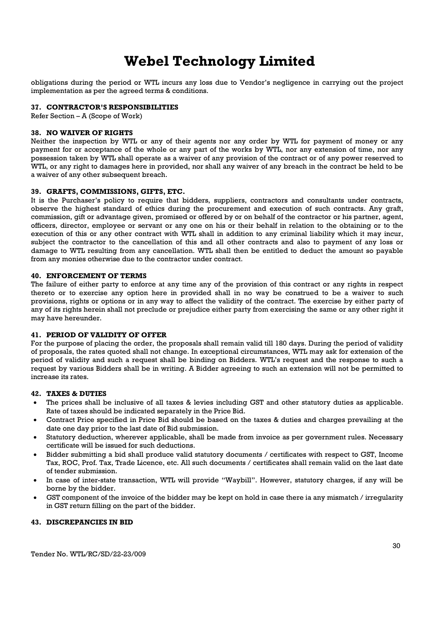obligations during the period or WTL incurs any loss due to Vendor's negligence in carrying out the project implementation as per the agreed terms & conditions.

#### 37. CONTRACTOR'S RESPONSIBILITIES

Refer Section – A (Scope of Work)

#### 38. NO WAIVER OF RIGHTS

Neither the inspection by WTL or any of their agents nor any order by WTL for payment of money or any payment for or acceptance of the whole or any part of the works by WTL, nor any extension of time, nor any possession taken by WTL shall operate as a waiver of any provision of the contract or of any power reserved to WTL, or any right to damages here in provided, nor shall any waiver of any breach in the contract be held to be a waiver of any other subsequent breach.

#### 39. GRAFTS, COMMISSIONS, GIFTS, ETC.

It is the Purchaser's policy to require that bidders, suppliers, contractors and consultants under contracts, observe the highest standard of ethics during the procurement and execution of such contracts. Any graft, commission, gift or advantage given, promised or offered by or on behalf of the contractor or his partner, agent, officers, director, employee or servant or any one on his or their behalf in relation to the obtaining or to the execution of this or any other contract with WTL shall in addition to any criminal liability which it may incur, subject the contractor to the cancellation of this and all other contracts and also to payment of any loss or damage to WTL resulting from any cancellation. WTL shall then be entitled to deduct the amount so payable from any monies otherwise due to the contractor under contract.

#### 40. ENFORCEMENT OF TERMS

The failure of either party to enforce at any time any of the provision of this contract or any rights in respect thereto or to exercise any option here in provided shall in no way be construed to be a waiver to such provisions, rights or options or in any way to affect the validity of the contract. The exercise by either party of any of its rights herein shall not preclude or prejudice either party from exercising the same or any other right it may have hereunder.

#### 41. PERIOD OF VALIDITY OF OFFER

For the purpose of placing the order, the proposals shall remain valid till 180 days. During the period of validity of proposals, the rates quoted shall not change. In exceptional circumstances, WTL may ask for extension of the period of validity and such a request shall be binding on Bidders. WTL's request and the response to such a request by various Bidders shall be in writing. A Bidder agreeing to such an extension will not be permitted to increase its rates.

#### 42. TAXES & DUTIES

- The prices shall be inclusive of all taxes & levies including GST and other statutory duties as applicable. Rate of taxes should be indicated separately in the Price Bid.
- Contract Price specified in Price Bid should be based on the taxes & duties and charges prevailing at the date one day prior to the last date of Bid submission.
- Statutory deduction, wherever applicable, shall be made from invoice as per government rules. Necessary certificate will be issued for such deductions.
- Bidder submitting a bid shall produce valid statutory documents / certificates with respect to GST, Income Tax, ROC, Prof. Tax, Trade Licence, etc. All such documents / certificates shall remain valid on the last date of tender submission.
- In case of inter-state transaction, WTL will provide "Waybill". However, statutory charges, if any will be borne by the bidder.
- GST component of the invoice of the bidder may be kept on hold in case there ia any mismatch / irregularity in GST return filling on the part of the bidder.

#### 43. DISCREPANCIES IN BID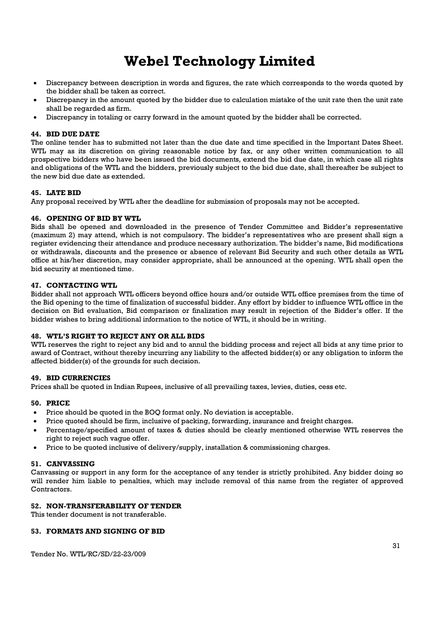- Discrepancy between description in words and figures, the rate which corresponds to the words quoted by the bidder shall be taken as correct.
- Discrepancy in the amount quoted by the bidder due to calculation mistake of the unit rate then the unit rate shall be regarded as firm.
- Discrepancy in totaling or carry forward in the amount quoted by the bidder shall be corrected.

#### 44. BID DUE DATE

The online tender has to submitted not later than the due date and time specified in the Important Dates Sheet. WTL may as its discretion on giving reasonable notice by fax, or any other written communication to all prospective bidders who have been issued the bid documents, extend the bid due date, in which case all rights and obligations of the WTL and the bidders, previously subject to the bid due date, shall thereafter be subject to the new bid due date as extended.

#### 45. LATE BID

Any proposal received by WTL after the deadline for submission of proposals may not be accepted.

#### 46. OPENING OF BID BY WTL

Bids shall be opened and downloaded in the presence of Tender Committee and Bidder's representative (maximum 2) may attend, which is not compulsory. The bidder's representatives who are present shall sign a register evidencing their attendance and produce necessary authorization. The bidder's name, Bid modifications or withdrawals, discounts and the presence or absence of relevant Bid Security and such other details as WTL office at his/her discretion, may consider appropriate, shall be announced at the opening. WTL shall open the bid security at mentioned time.

#### 47. CONTACTING WTL

Bidder shall not approach WTL officers beyond office hours and/or outside WTL office premises from the time of the Bid opening to the time of finalization of successful bidder. Any effort by bidder to influence WTL office in the decision on Bid evaluation, Bid comparison or finalization may result in rejection of the Bidder's offer. If the bidder wishes to bring additional information to the notice of WTL, it should be in writing.

#### 48. WTL'S RIGHT TO REJECT ANY OR ALL BIDS

WTL reserves the right to reject any bid and to annul the bidding process and reject all bids at any time prior to award of Contract, without thereby incurring any liability to the affected bidder(s) or any obligation to inform the affected bidder(s) of the grounds for such decision.

#### 49. BID CURRENCIES

Prices shall be quoted in Indian Rupees, inclusive of all prevailing taxes, levies, duties, cess etc.

#### 50. PRICE

- Price should be quoted in the BOQ format only. No deviation is acceptable.
- Price quoted should be firm, inclusive of packing, forwarding, insurance and freight charges.
- Percentage/specified amount of taxes & duties should be clearly mentioned otherwise WTL reserves the right to reject such vague offer.
- Price to be quoted inclusive of delivery/supply, installation & commissioning charges.

#### 51. CANVASSING

Canvassing or support in any form for the acceptance of any tender is strictly prohibited. Any bidder doing so will render him liable to penalties, which may include removal of this name from the register of approved Contractors.

#### 52. NON-TRANSFERABILITY OF TENDER

This tender document is not transferable.

#### 53. FORMATS AND SIGNING OF BID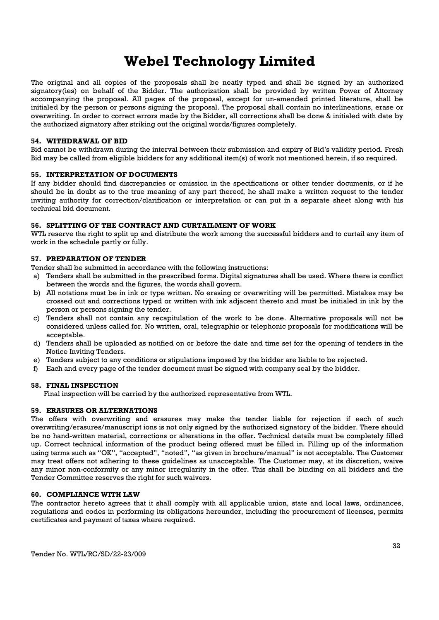The original and all copies of the proposals shall be neatly typed and shall be signed by an authorized signatory(ies) on behalf of the Bidder. The authorization shall be provided by written Power of Attorney accompanying the proposal. All pages of the proposal, except for un-amended printed literature, shall be initialed by the person or persons signing the proposal. The proposal shall contain no interlineations, erase or overwriting. In order to correct errors made by the Bidder, all corrections shall be done & initialed with date by the authorized signatory after striking out the original words/figures completely.

#### 54. WITHDRAWAL OF BID

Bid cannot be withdrawn during the interval between their submission and expiry of Bid's validity period. Fresh Bid may be called from eligible bidders for any additional item(s) of work not mentioned herein, if so required.

#### 55. INTERPRETATION OF DOCUMENTS

If any bidder should find discrepancies or omission in the specifications or other tender documents, or if he should be in doubt as to the true meaning of any part thereof, he shall make a written request to the tender inviting authority for correction/clarification or interpretation or can put in a separate sheet along with his technical bid document.

#### 56. SPLITTING OF THE CONTRACT AND CURTAILMENT OF WORK

WTL reserve the right to split up and distribute the work among the successful bidders and to curtail any item of work in the schedule partly or fully.

#### 57. PREPARATION OF TENDER

Tender shall be submitted in accordance with the following instructions:

- a) Tenders shall be submitted in the prescribed forms. Digital signatures shall be used. Where there is conflict between the words and the figures, the words shall govern.
- b) All notations must be in ink or type written. No erasing or overwriting will be permitted. Mistakes may be crossed out and corrections typed or written with ink adjacent thereto and must be initialed in ink by the person or persons signing the tender.
- c) Tenders shall not contain any recapitulation of the work to be done. Alternative proposals will not be considered unless called for. No written, oral, telegraphic or telephonic proposals for modifications will be acceptable.
- d) Tenders shall be uploaded as notified on or before the date and time set for the opening of tenders in the Notice Inviting Tenders.
- e) Tenders subject to any conditions or stipulations imposed by the bidder are liable to be rejected.
- f) Each and every page of the tender document must be signed with company seal by the bidder.

#### 58. FINAL INSPECTION

Final inspection will be carried by the authorized representative from WTL.

#### 59. ERASURES OR ALTERNATIONS

The offers with overwriting and erasures may make the tender liable for rejection if each of such overwriting/erasures/manuscript ions is not only signed by the authorized signatory of the bidder. There should be no hand-written material, corrections or alterations in the offer. Technical details must be completely filled up. Correct technical information of the product being offered must be filled in. Filling up of the information using terms such as "OK", "accepted", "noted", "as given in brochure/manual" is not acceptable. The Customer may treat offers not adhering to these guidelines as unacceptable. The Customer may, at its discretion, waive any minor non-conformity or any minor irregularity in the offer. This shall be binding on all bidders and the Tender Committee reserves the right for such waivers.

#### 60. COMPLIANCE WITH LAW

The contractor hereto agrees that it shall comply with all applicable union, state and local laws, ordinances, regulations and codes in performing its obligations hereunder, including the procurement of licenses, permits certificates and payment of taxes where required.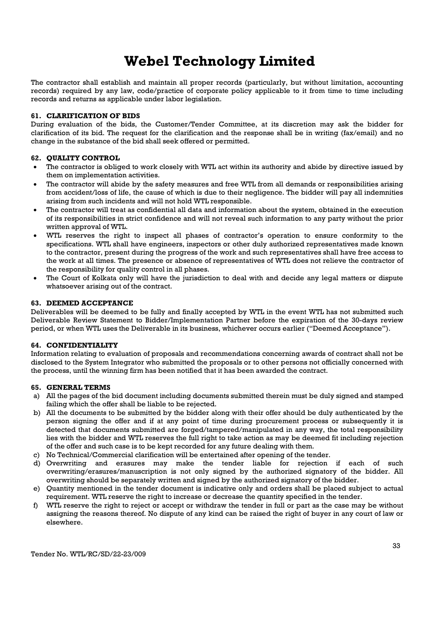The contractor shall establish and maintain all proper records (particularly, but without limitation, accounting records) required by any law, code/practice of corporate policy applicable to it from time to time including records and returns as applicable under labor legislation.

#### 61. CLARIFICATION OF BIDS

During evaluation of the bids, the Customer/Tender Committee, at its discretion may ask the bidder for clarification of its bid. The request for the clarification and the response shall be in writing (fax/email) and no change in the substance of the bid shall seek offered or permitted.

#### 62. QUALITY CONTROL

- The contractor is obliged to work closely with WTL act within its authority and abide by directive issued by them on implementation activities.
- The contractor will abide by the safety measures and free WTL from all demands or responsibilities arising from accident/loss of life, the cause of which is due to their negligence. The bidder will pay all indemnities arising from such incidents and will not hold WTL responsible.
- The contractor will treat as confidential all data and information about the system, obtained in the execution of its responsibilities in strict confidence and will not reveal such information to any party without the prior written approval of WTL.
- WTL reserves the right to inspect all phases of contractor's operation to ensure conformity to the specifications. WTL shall have engineers, inspectors or other duly authorized representatives made known to the contractor, present during the progress of the work and such representatives shall have free access to the work at all times. The presence or absence of representatives of WTL does not relieve the contractor of the responsibility for quality control in all phases.
- The Court of Kolkata only will have the jurisdiction to deal with and decide any legal matters or dispute whatsoever arising out of the contract.

#### 63. DEEMED ACCEPTANCE

Deliverables will be deemed to be fully and finally accepted by WTL in the event WTL has not submitted such Deliverable Review Statement to Bidder/Implementation Partner before the expiration of the 30-days review period, or when WTL uses the Deliverable in its business, whichever occurs earlier ("Deemed Acceptance").

#### 64. CONFIDENTIALITY

Information relating to evaluation of proposals and recommendations concerning awards of contract shall not be disclosed to the System Integrator who submitted the proposals or to other persons not officially concerned with the process, until the winning firm has been notified that it has been awarded the contract.

#### 65. GENERAL TERMS

- a) All the pages of the bid document including documents submitted therein must be duly signed and stamped failing which the offer shall be liable to be rejected.
- b) All the documents to be submitted by the bidder along with their offer should be duly authenticated by the person signing the offer and if at any point of time during procurement process or subsequently it is detected that documents submitted are forged/tampered/manipulated in any way, the total responsibility lies with the bidder and WTL reserves the full right to take action as may be deemed fit including rejection of the offer and such case is to be kept recorded for any future dealing with them.
- c) No Technical/Commercial clarification will be entertained after opening of the tender.
- d) Overwriting and erasures may make the tender liable for rejection if each of such overwriting/erasures/manuscription is not only signed by the authorized signatory of the bidder. All overwriting should be separately written and signed by the authorized signatory of the bidder.
- e) Quantity mentioned in the tender document is indicative only and orders shall be placed subject to actual requirement. WTL reserve the right to increase or decrease the quantity specified in the tender.
- f) WTL reserve the right to reject or accept or withdraw the tender in full or part as the case may be without assigning the reasons thereof. No dispute of any kind can be raised the right of buyer in any court of law or elsewhere.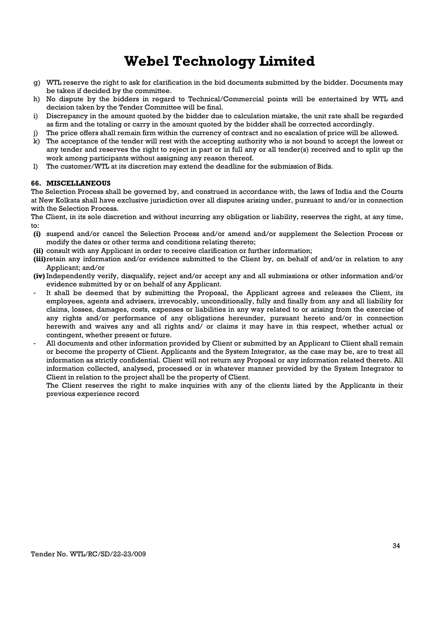- g) WTL reserve the right to ask for clarification in the bid documents submitted by the bidder. Documents may be taken if decided by the committee.
- h) No dispute by the bidders in regard to Technical/Commercial points will be entertained by WTL and decision taken by the Tender Committee will be final.
- i) Discrepancy in the amount quoted by the bidder due to calculation mistake, the unit rate shall be regarded as firm and the totaling or carry in the amount quoted by the bidder shall be corrected accordingly.
- The price offers shall remain firm within the currency of contract and no escalation of price will be allowed.
- k) The acceptance of the tender will rest with the accepting authority who is not bound to accept the lowest or any tender and reserves the right to reject in part or in full any or all tender(s) received and to split up the work among participants without assigning any reason thereof.
- l) The customer/WTL at its discretion may extend the deadline for the submission of Bids.

#### 66. MISCELLANEOUS

The Selection Process shall be governed by, and construed in accordance with, the laws of India and the Courts at New Kolkata shall have exclusive jurisdiction over all disputes arising under, pursuant to and/or in connection with the Selection Process.

The Client, in its sole discretion and without incurring any obligation or liability, reserves the right, at any time, to:

- (i) suspend and/or cancel the Selection Process and/or amend and/or supplement the Selection Process or modify the dates or other terms and conditions relating thereto;
- (ii) consult with any Applicant in order to receive clarification or further information;
- (iii)retain any information and/or evidence submitted to the Client by, on behalf of and/or in relation to any Applicant; and/or
- (iv) Independently verify, disqualify, reject and/or accept any and all submissions or other information and/or evidence submitted by or on behalf of any Applicant.
- It shall be deemed that by submitting the Proposal, the Applicant agrees and releases the Client, its employees, agents and advisers, irrevocably, unconditionally, fully and finally from any and all liability for claims, losses, damages, costs, expenses or liabilities in any way related to or arising from the exercise of any rights and/or performance of any obligations hereunder, pursuant hereto and/or in connection herewith and waives any and all rights and/ or claims it may have in this respect, whether actual or contingent, whether present or future.
- All documents and other information provided by Client or submitted by an Applicant to Client shall remain or become the property of Client. Applicants and the System Integrator, as the case may be, are to treat all information as strictly confidential. Client will not return any Proposal or any information related thereto. All information collected, analysed, processed or in whatever manner provided by the System Integrator to Client in relation to the project shall be the property of Client.

The Client reserves the right to make inquiries with any of the clients listed by the Applicants in their previous experience record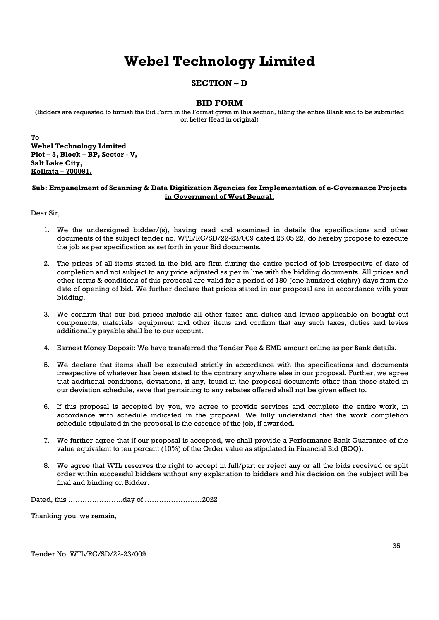### SECTION – D

### BID FORM

(Bidders are requested to furnish the Bid Form in the Format given in this section, filling the entire Blank and to be submitted on Letter Head in original)

To Webel Technology Limited Plot – 5, Block – BP, Sector - V, Salt Lake City, Kolkata – 700091.

#### Sub: Empanelment of Scanning & Data Digitization Agencies for Implementation of e-Governance Projects in Government of West Bengal.

Dear Sir,

- 1. We the undersigned bidder/(s), having read and examined in details the specifications and other documents of the subject tender no. WTL/RC/SD/22-23/009 dated 25.05.22, do hereby propose to execute the job as per specification as set forth in your Bid documents.
- 2. The prices of all items stated in the bid are firm during the entire period of job irrespective of date of completion and not subject to any price adjusted as per in line with the bidding documents. All prices and other terms & conditions of this proposal are valid for a period of 180 (one hundred eighty) days from the date of opening of bid. We further declare that prices stated in our proposal are in accordance with your bidding.
- 3. We confirm that our bid prices include all other taxes and duties and levies applicable on bought out components, materials, equipment and other items and confirm that any such taxes, duties and levies additionally payable shall be to our account.
- 4. Earnest Money Deposit: We have transferred the Tender Fee & EMD amount online as per Bank details.
- 5. We declare that items shall be executed strictly in accordance with the specifications and documents irrespective of whatever has been stated to the contrary anywhere else in our proposal. Further, we agree that additional conditions, deviations, if any, found in the proposal documents other than those stated in our deviation schedule, save that pertaining to any rebates offered shall not be given effect to.
- 6. If this proposal is accepted by you, we agree to provide services and complete the entire work, in accordance with schedule indicated in the proposal. We fully understand that the work completion schedule stipulated in the proposal is the essence of the job, if awarded.
- 7. We further agree that if our proposal is accepted, we shall provide a Performance Bank Guarantee of the value equivalent to ten percent (10%) of the Order value as stipulated in Financial Bid (BOQ).
- 8. We agree that WTL reserves the right to accept in full/part or reject any or all the bids received or split order within successful bidders without any explanation to bidders and his decision on the subject will be final and binding on Bidder.

Dated, this …………………..day of ……………………2022

Thanking you, we remain,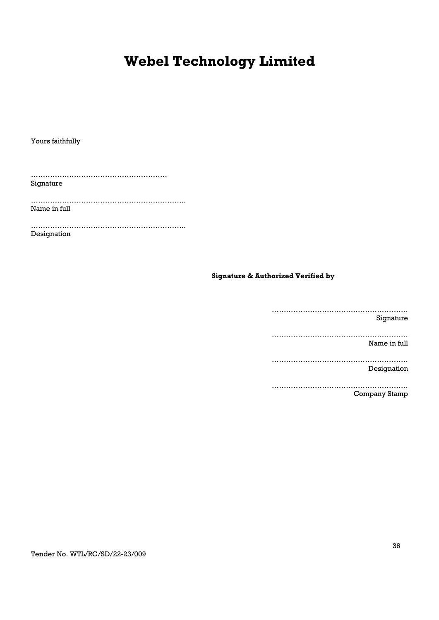Yours faithfully

………………………………………………… Signature

……………………………………………………….. Name in full

……………………………………………………….. Designation

### Signature & Authorized Verified by

………………………………………………… Signature ………………………………………………… Name in full ………………………………………………… Designation …………………………………………………

Company Stamp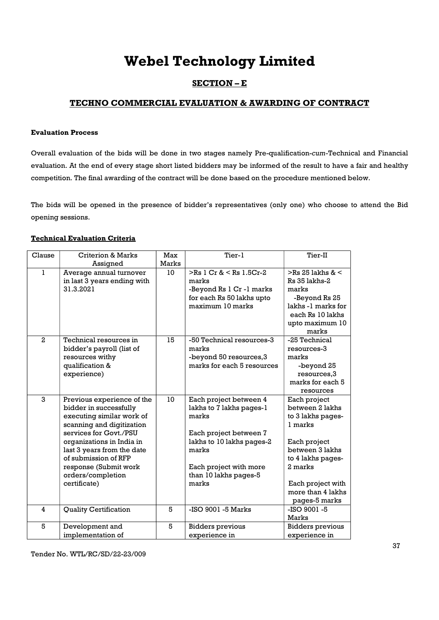### SECTION – E

### TECHNO COMMERCIAL EVALUATION & AWARDING OF CONTRACT

#### Evaluation Process

Overall evaluation of the bids will be done in two stages namely Pre-qualification-cum-Technical and Financial evaluation. At the end of every stage short listed bidders may be informed of the result to have a fair and healthy competition. The final awarding of the contract will be done based on the procedure mentioned below.

The bids will be opened in the presence of bidder's representatives (only one) who choose to attend the Bid opening sessions.

### Technical Evaluation Criteria

| Clause                  | <b>Criterion &amp; Marks</b>                                                                                                                                                                                                                                                              | Max   | Tier-1                                                                                                                                                                                  | Tier-II                                                                                                                                                                                       |
|-------------------------|-------------------------------------------------------------------------------------------------------------------------------------------------------------------------------------------------------------------------------------------------------------------------------------------|-------|-----------------------------------------------------------------------------------------------------------------------------------------------------------------------------------------|-----------------------------------------------------------------------------------------------------------------------------------------------------------------------------------------------|
|                         | Assigned                                                                                                                                                                                                                                                                                  | Marks |                                                                                                                                                                                         |                                                                                                                                                                                               |
| $\mathbf{1}$            | Average annual turnover<br>in last 3 years ending with<br>31.3.2021                                                                                                                                                                                                                       | 10    | $>$ Rs 1 Cr & $<$ Rs 1.5Cr-2<br>marks<br>-Beyond Rs 1 Cr -1 marks<br>for each Rs 50 lakhs upto<br>maximum 10 marks                                                                      | $>$ Rs 25 lakhs & $<$<br>Rs 35 lakhs-2<br>marks<br>-Beyond Rs 25<br>lakhs -1 marks for<br>each Rs 10 lakhs<br>upto maximum 10<br>marks                                                        |
| $\mathbf{2}$            | Technical resources in<br>bidder's payroll (list of<br>resources withy<br>qualification &<br>experience)                                                                                                                                                                                  | 15    | -50 Technical resources-3<br>marks<br>-beyond 50 resources, 3<br>marks for each 5 resources                                                                                             | -25 Technical<br>resources-3<br>marks<br>-beyond 25<br>resources,3<br>marks for each 5<br>resources                                                                                           |
| 3                       | Previous experience of the<br>bidder in successfully<br>executing similar work of<br>scanning and digitization<br>services for Govt./PSU<br>organizations in India in<br>last 3 years from the date<br>of submission of RFP<br>response (Submit work<br>orders/completion<br>certificate) | 10    | Each project between 4<br>lakhs to 7 lakhs pages-1<br>marks<br>Each project between 7<br>lakhs to 10 lakhs pages-2<br>marks<br>Each project with more<br>than 10 lakhs pages-5<br>marks | Each project<br>between 2 lakhs<br>to 3 lakhs pages-<br>1 marks<br>Each project<br>between 3 lakhs<br>to 4 lakhs pages-<br>2 marks<br>Each project with<br>more than 4 lakhs<br>pages-5 marks |
| $\overline{\mathbf{4}}$ | <b>Quality Certification</b>                                                                                                                                                                                                                                                              | 5     | -ISO 9001 -5 Marks                                                                                                                                                                      | $-ISO$ 9001 $-S$<br><b>Marks</b>                                                                                                                                                              |
| 5                       | Development and<br>implementation of                                                                                                                                                                                                                                                      | 5     | <b>Bidders</b> previous<br>experience in                                                                                                                                                | <b>Bidders previous</b><br>experience in                                                                                                                                                      |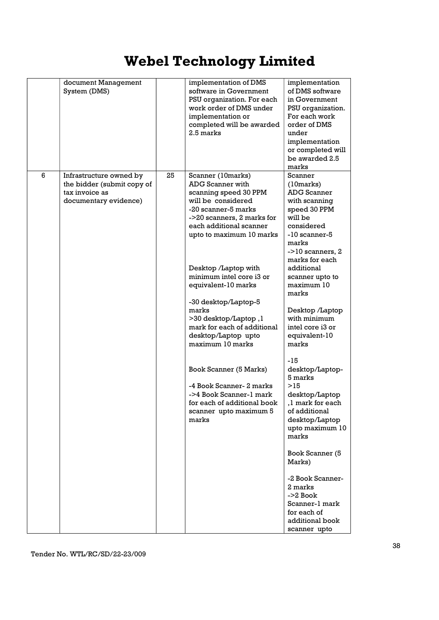|   | document Management<br>System (DMS)                                                              |    | implementation of DMS<br>software in Government<br>PSU organization. For each<br>work order of DMS under<br>implementation or<br>completed will be awarded<br>2.5 marks                                                                                                                                                                                                                                                                                                                                                                                            | implementation<br>of DMS software<br>in Government<br>PSU organization.<br>For each work<br>order of DMS<br>under<br>implementation<br>or completed will<br>be awarded 2.5<br>marks                                                                                                                                                                                                                                                                                                                                                                                                                       |
|---|--------------------------------------------------------------------------------------------------|----|--------------------------------------------------------------------------------------------------------------------------------------------------------------------------------------------------------------------------------------------------------------------------------------------------------------------------------------------------------------------------------------------------------------------------------------------------------------------------------------------------------------------------------------------------------------------|-----------------------------------------------------------------------------------------------------------------------------------------------------------------------------------------------------------------------------------------------------------------------------------------------------------------------------------------------------------------------------------------------------------------------------------------------------------------------------------------------------------------------------------------------------------------------------------------------------------|
| 6 | Infrastructure owned by<br>the bidder (submit copy of<br>tax invoice as<br>documentary evidence) | 25 | Scanner (10marks)<br>ADG Scanner with<br>scanning speed 30 PPM<br>will be considered<br>-20 scanner-5 marks<br>->20 scanners, 2 marks for<br>each additional scanner<br>upto to maximum 10 marks<br>Desktop /Laptop with<br>minimum intel core i3 or<br>equivalent-10 marks<br>-30 desktop/Laptop-5<br>marks<br>>30 desktop/Laptop, l<br>mark for each of additional<br>desktop/Laptop upto<br>maximum 10 marks<br>Book Scanner (5 Marks)<br>-4 Book Scanner- 2 marks<br>->4 Book Scanner-1 mark<br>for each of additional book<br>scanner upto maximum 5<br>marks | Scanner<br>(10 marks)<br>ADG Scanner<br>with scanning<br>speed 30 PPM<br>will be<br>considered<br>-10 scanner-5<br>marks<br>$-$ > 10 scanners, 2<br>marks for each<br>additional<br>scanner upto to<br>maximum 10<br>marks<br>Desktop /Laptop<br>with minimum<br>intel core i3 or<br>equivalent-10<br>marks<br>-15<br>desktop/Laptop-<br>5 marks<br>>15<br>desktop/Laptop<br>,1 mark for each<br>of additional<br>desktop/Laptop<br>upto maximum 10<br>marks<br>Book Scanner (5<br>Marks)<br>-2 Book Scanner-<br>2 marks<br>$-2B$ ook<br>Scanner-1 mark<br>for each of<br>additional book<br>scanner upto |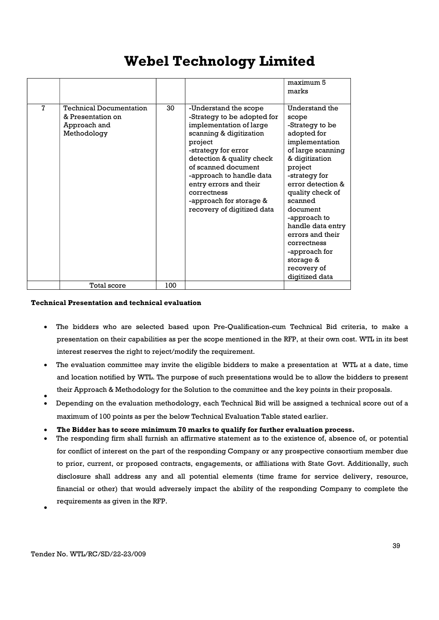|   |                                                                                                   |           |                                                                                                                                                                                                                                                                                                                                | maximum 5<br>marks                                                                                                                                                                                                                                                                                                                                    |
|---|---------------------------------------------------------------------------------------------------|-----------|--------------------------------------------------------------------------------------------------------------------------------------------------------------------------------------------------------------------------------------------------------------------------------------------------------------------------------|-------------------------------------------------------------------------------------------------------------------------------------------------------------------------------------------------------------------------------------------------------------------------------------------------------------------------------------------------------|
| 7 | <b>Technical Documentation</b><br>& Presentation on<br>Approach and<br>Methodology<br>Total score | 30<br>100 | -Understand the scope<br>-Strategy to be adopted for<br>implementation of large<br>scanning & digitization<br>project<br>-strategy for error<br>detection & quality check<br>of scanned document<br>-approach to handle data<br>entry errors and their<br>correctness<br>-approach for storage &<br>recovery of digitized data | Understand the<br>scope<br>-Strategy to be<br>adopted for<br>implementation<br>of large scanning<br>& digitization<br>project<br>-strategy for<br>error detection &<br>quality check of<br>scanned<br>document<br>-approach to<br>handle data entry<br>errors and their<br>correctness<br>-approach for<br>storage &<br>recovery of<br>digitized data |
|   |                                                                                                   |           |                                                                                                                                                                                                                                                                                                                                |                                                                                                                                                                                                                                                                                                                                                       |

#### Technical Presentation and technical evaluation

- The bidders who are selected based upon Pre-Qualification-cum Technical Bid criteria, to make a presentation on their capabilities as per the scope mentioned in the RFP, at their own cost. WTL in its best interest reserves the right to reject/modify the requirement.
- The evaluation committee may invite the eligible bidders to make a presentation at WTL at a date, time and location notified by WTL. The purpose of such presentations would be to allow the bidders to present their Approach & Methodology for the Solution to the committee and the key points in their proposals.
- $\bullet$  Depending on the evaluation methodology, each Technical Bid will be assigned a technical score out of a maximum of 100 points as per the below Technical Evaluation Table stated earlier.
- The Bidder has to score minimum 70 marks to qualify for further evaluation process.
- The responding firm shall furnish an affirmative statement as to the existence of, absence of, or potential for conflict of interest on the part of the responding Company or any prospective consortium member due to prior, current, or proposed contracts, engagements, or affiliations with State Govt. Additionally, such disclosure shall address any and all potential elements (time frame for service delivery, resource, financial or other) that would adversely impact the ability of the responding Company to complete the requirements as given in the RFP.  $\bullet$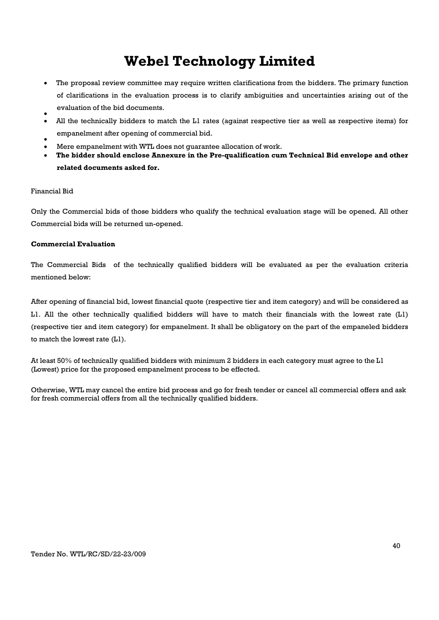- The proposal review committee may require written clarifications from the bidders. The primary function of clarifications in the evaluation process is to clarify ambiguities and uncertainties arising out of the evaluation of the bid documents.
- $\bullet$  All the technically bidders to match the L1 rates (against respective tier as well as respective items) for empanelment after opening of commercial bid.
- $\bullet$ Mere empanelment with WTL does not guarantee allocation of work.
- The bidder should enclose Annexure in the Pre-qualification cum Technical Bid envelope and other related documents asked for.

#### Financial Bid

Only the Commercial bids of those bidders who qualify the technical evaluation stage will be opened. All other Commercial bids will be returned un-opened.

#### Commercial Evaluation

The Commercial Bids of the technically qualified bidders will be evaluated as per the evaluation criteria mentioned below:

After opening of financial bid, lowest financial quote (respective tier and item category) and will be considered as L1. All the other technically qualified bidders will have to match their financials with the lowest rate (L1) (respective tier and item category) for empanelment. It shall be obligatory on the part of the empaneled bidders to match the lowest rate (L1).

At least 50% of technically qualified bidders with minimum 2 bidders in each category must agree to the L1 (Lowest) price for the proposed empanelment process to be effected.

Otherwise, WTL may cancel the entire bid process and go for fresh tender or cancel all commercial offers and ask for fresh commercial offers from all the technically qualified bidders.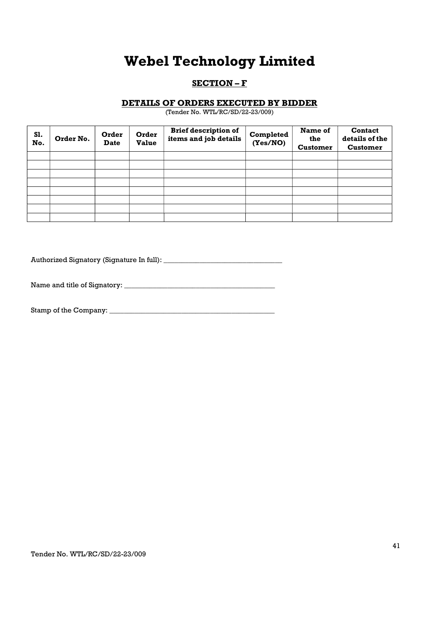### SECTION - F

### DETAILS OF ORDERS EXECUTED BY BIDDER

(Tender No. WTL/RC/SD/22-23/009)

| S1.<br>No. | Order No. | Order<br><b>Date</b> | Order<br><b>Value</b> | <b>Brief description of</b><br>items and job details | Completed<br>(Yes/NO) | Name of<br>the<br><b>Customer</b> | Contact<br>details of the<br><b>Customer</b> |
|------------|-----------|----------------------|-----------------------|------------------------------------------------------|-----------------------|-----------------------------------|----------------------------------------------|
|            |           |                      |                       |                                                      |                       |                                   |                                              |
|            |           |                      |                       |                                                      |                       |                                   |                                              |
|            |           |                      |                       |                                                      |                       |                                   |                                              |
|            |           |                      |                       |                                                      |                       |                                   |                                              |
|            |           |                      |                       |                                                      |                       |                                   |                                              |
|            |           |                      |                       |                                                      |                       |                                   |                                              |
|            |           |                      |                       |                                                      |                       |                                   |                                              |
|            |           |                      |                       |                                                      |                       |                                   |                                              |

Authorized Signatory (Signature In full): \_\_\_\_\_\_\_\_\_\_\_\_\_\_\_\_\_\_\_\_\_\_\_\_\_\_\_\_\_\_\_\_\_

Name and title of Signatory: \_\_\_\_\_\_\_\_\_\_\_\_\_\_\_\_\_\_\_\_\_\_\_\_\_\_\_\_\_\_\_\_\_\_\_\_\_\_\_\_\_\_

Stamp of the Company: \_\_\_\_\_\_\_\_\_\_\_\_\_\_\_\_\_\_\_\_\_\_\_\_\_\_\_\_\_\_\_\_\_\_\_\_\_\_\_\_\_\_\_\_\_\_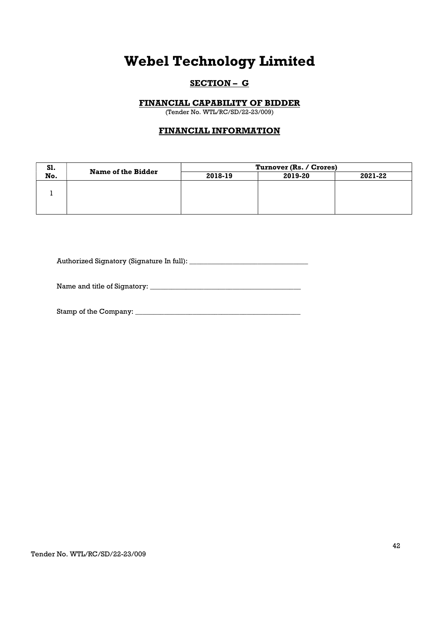### SECTION – G

### FINANCIAL CAPABILITY OF BIDDER

(Tender No. WTL/RC/SD/22-23/009)

### FINANCIAL INFORMATION

| S1. | <b>Name of the Bidder</b> | Turnover (Rs. / Crores) |         |         |  |
|-----|---------------------------|-------------------------|---------|---------|--|
| No. |                           | 2018-19                 | 2019-20 | 2021-22 |  |
|     |                           |                         |         |         |  |
|     |                           |                         |         |         |  |
|     |                           |                         |         |         |  |
|     |                           |                         |         |         |  |

Authorized Signatory (Signature In full): \_\_\_\_\_\_\_\_\_\_\_\_\_\_\_\_\_\_\_\_\_\_\_\_\_\_\_\_\_\_\_\_\_

Name and title of Signatory:

Stamp of the Company: \_\_\_\_\_\_\_\_\_\_\_\_\_\_\_\_\_\_\_\_\_\_\_\_\_\_\_\_\_\_\_\_\_\_\_\_\_\_\_\_\_\_\_\_\_\_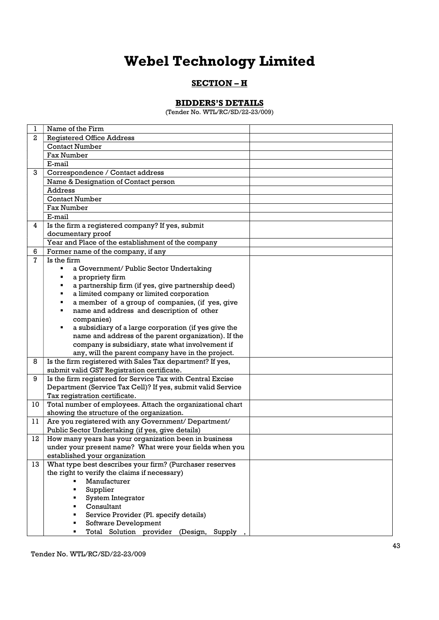### SECTION - H

### BIDDERS'S DETAILS

(Tender No. WTL/RC/SD/22-23/009)

| 1            | Name of the Firm                                                                                                          |
|--------------|---------------------------------------------------------------------------------------------------------------------------|
| $\mathbf{2}$ | <b>Registered Office Address</b>                                                                                          |
|              | <b>Contact Number</b>                                                                                                     |
|              | <b>Fax Number</b>                                                                                                         |
|              | E-mail                                                                                                                    |
| 3            | Correspondence / Contact address                                                                                          |
|              | Name & Designation of Contact person                                                                                      |
|              | <b>Address</b>                                                                                                            |
|              | <b>Contact Number</b>                                                                                                     |
|              | <b>Fax Number</b>                                                                                                         |
|              | E-mail                                                                                                                    |
| 4            | Is the firm a registered company? If yes, submit                                                                          |
|              | documentary proof                                                                                                         |
|              | Year and Place of the establishment of the company                                                                        |
| 6            | Former name of the company, if any                                                                                        |
| 7            | Is the firm                                                                                                               |
|              | a Government/ Public Sector Undertaking                                                                                   |
|              | a propriety firm                                                                                                          |
|              | a partnership firm (if yes, give partnership deed)<br>п                                                                   |
|              | a limited company or limited corporation<br>٠                                                                             |
|              | a member of a group of companies, (if yes, give<br>٠                                                                      |
|              | name and address and description of other<br>٠                                                                            |
|              | companies)                                                                                                                |
|              | a subsidiary of a large corporation (if yes give the                                                                      |
|              | name and address of the parent organization). If the                                                                      |
|              | company is subsidiary, state what involvement if                                                                          |
|              | any, will the parent company have in the project.                                                                         |
| 8            | Is the firm registered with Sales Tax department? If yes,                                                                 |
| 9            | submit valid GST Registration certificate.                                                                                |
|              | Is the firm registered for Service Tax with Central Excise<br>Department (Service Tax Cell)? If yes, submit valid Service |
|              | Tax registration certificate.                                                                                             |
| 10           | Total number of employees. Attach the organizational chart                                                                |
|              | showing the structure of the organization.                                                                                |
| 11           | Are you registered with any Government/ Department/                                                                       |
|              | Public Sector Undertaking (if yes, give details)                                                                          |
| 12           | How many years has your organization been in business                                                                     |
|              | under your present name? What were your fields when you                                                                   |
|              | established your organization                                                                                             |
| 13           | What type best describes your firm? (Purchaser reserves                                                                   |
|              | the right to verify the claims if necessary)                                                                              |
|              | Manufacturer                                                                                                              |
|              | Supplier                                                                                                                  |
|              | System Integrator                                                                                                         |
|              | Consultant                                                                                                                |
|              | Service Provider (Pl. specify details)                                                                                    |
|              | Software Development                                                                                                      |
|              | Total Solution provider (Design, Supply                                                                                   |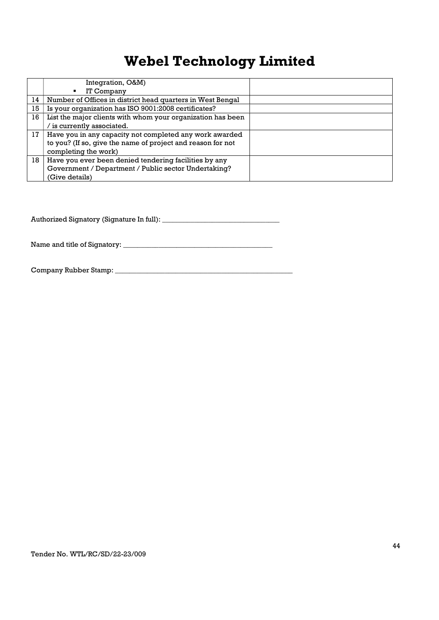|    | Integration, O&M)                                           |  |
|----|-------------------------------------------------------------|--|
|    | IT Company<br>٠                                             |  |
| 14 | Number of Offices in district head quarters in West Bengal  |  |
| 15 | Is your organization has ISO 9001:2008 certificates?        |  |
| 16 | List the major clients with whom your organization has been |  |
|    | / is currently associated.                                  |  |
| 17 | Have you in any capacity not completed any work awarded     |  |
|    | to you? (If so, give the name of project and reason for not |  |
|    | completing the work)                                        |  |
| 18 | Have you ever been denied tendering facilities by any       |  |
|    | Government / Department / Public sector Undertaking?        |  |
|    | (Give details)                                              |  |

Authorized Signatory (Signature In full): \_\_\_\_\_\_\_\_\_\_\_\_\_\_\_\_\_\_\_\_\_\_\_\_\_\_\_\_\_\_\_\_\_

Name and title of Signatory: \_\_\_\_\_\_\_\_\_\_\_\_\_\_\_\_\_\_\_\_\_\_\_\_\_\_\_\_\_\_\_\_\_\_\_\_\_\_\_\_\_\_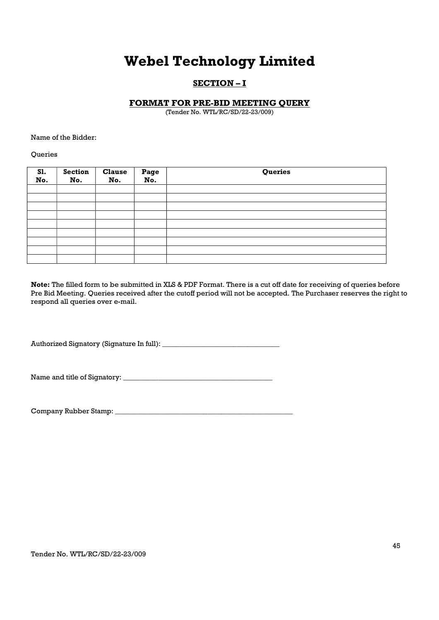### SECTION – I

### FORMAT FOR PRE-BID MEETING QUERY

(Tender No. WTL/RC/SD/22-23/009)

Name of the Bidder:

Queries

| S1.<br>No. | <b>Section</b><br>No. | <b>Clause</b><br>No. | Page<br>No. | Queries |
|------------|-----------------------|----------------------|-------------|---------|
|            |                       |                      |             |         |
|            |                       |                      |             |         |
|            |                       |                      |             |         |
|            |                       |                      |             |         |
|            |                       |                      |             |         |
|            |                       |                      |             |         |
|            |                       |                      |             |         |
|            |                       |                      |             |         |
|            |                       |                      |             |         |

Note: The filled form to be submitted in XLS & PDF Format. There is a cut off date for receiving of queries before Pre Bid Meeting. Queries received after the cutoff period will not be accepted. The Purchaser reserves the right to respond all queries over e-mail.

Authorized Signatory (Signature In full): \_\_\_\_\_\_\_\_\_\_\_\_\_\_\_\_\_\_\_\_\_\_\_\_\_\_\_\_\_\_\_\_\_

Name and title of Signatory: \_\_\_\_\_\_\_\_\_\_\_\_\_\_\_\_\_\_\_\_\_\_\_\_\_\_\_\_\_\_\_\_\_\_\_\_\_\_\_\_\_\_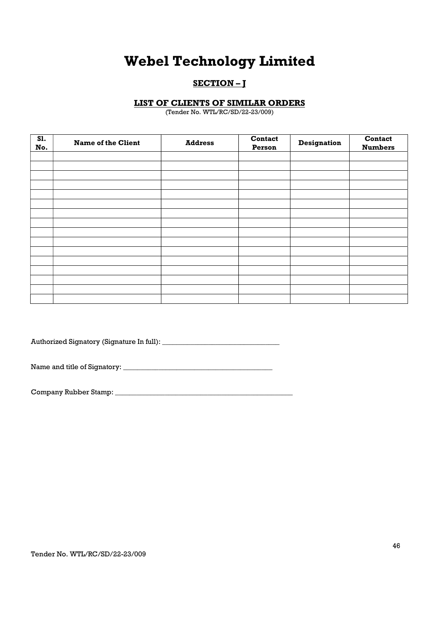### SECTION-I

### LIST OF CLIENTS OF SIMILAR ORDERS

(Tender No. WTL/RC/SD/22-23/009)

| S1.<br>No. | <b>Name of the Client</b> | <b>Address</b> | Contact<br>Person | <b>Designation</b> | Contact<br><b>Numbers</b> |
|------------|---------------------------|----------------|-------------------|--------------------|---------------------------|
|            |                           |                |                   |                    |                           |
|            |                           |                |                   |                    |                           |
|            |                           |                |                   |                    |                           |
|            |                           |                |                   |                    |                           |
|            |                           |                |                   |                    |                           |
|            |                           |                |                   |                    |                           |
|            |                           |                |                   |                    |                           |
|            |                           |                |                   |                    |                           |
|            |                           |                |                   |                    |                           |
|            |                           |                |                   |                    |                           |
|            |                           |                |                   |                    |                           |
|            |                           |                |                   |                    |                           |
|            |                           |                |                   |                    |                           |
|            |                           |                |                   |                    |                           |
|            |                           |                |                   |                    |                           |
|            |                           |                |                   |                    |                           |

Authorized Signatory (Signature In full): \_\_\_\_\_\_\_\_\_\_\_\_\_\_\_\_\_\_\_\_\_\_\_\_\_\_\_\_\_\_\_\_\_

Name and title of Signatory: \_\_\_\_\_\_\_\_\_\_\_\_\_\_\_\_\_\_\_\_\_\_\_\_\_\_\_\_\_\_\_\_\_\_\_\_\_\_\_\_\_\_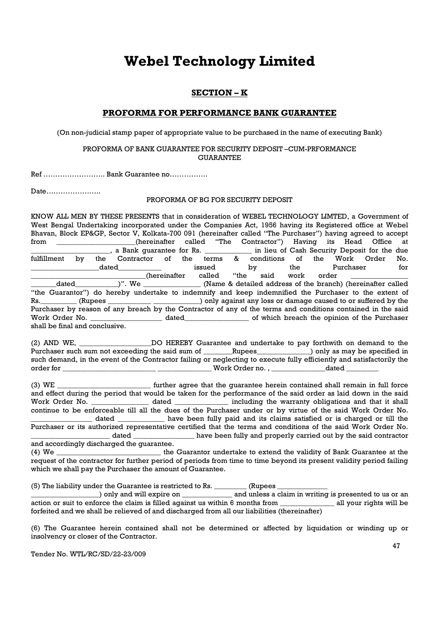### SECTION – K

### PROFORMA FOR PERFORMANCE BANK GUARANTEE

(On non-judicial stamp paper of appropriate value to be purchased in the name of executing Bank)

#### PROFORMA OF BANK GUARANTEE FOR SECURITY DEPOSIT –CUM-PRFORMANCE GUARANTEE

Ref …………………….. Bank Guarantee no…………….

Date…………………..

### PROFORMA OF BG FOR SECURITY DEPOSIT

KNOW ALL MEN BY THESE PRESENTS that in consideration of WEBEL TECHNOLOGY LIMTED, a Government of West Bengal Undertaking incorporated under the Companies Act, 1956 having its Registered office at Webel Bhavan, Block EP&GP, Sector V, Kolkata-700 091 (hereinafter called "The Purchaser") having agreed to accept from \_\_\_\_\_\_\_\_\_\_\_\_\_\_\_\_(hereinafter called "The Contractor") Having its Head Office at \_\_\_\_\_\_\_\_\_\_\_\_\_\_, a Bank guarantee for Rs. \_\_\_\_\_\_\_\_\_\_\_\_\_\_\_ in lieu of Cash Security Deposit for the due \_\_\_\_\_\_\_\_\_\_\_\_\_\_\_\_\_\_\_\_\_\_, a Bank guarantee for Rs. \_\_\_\_\_\_\_\_\_\_\_\_\_ in lieu of Cash Security Deposit for the due fulfillment by the Contractor of the terms & conditions of the Work Order No. \_\_\_\_\_\_\_\_\_\_\_\_\_\_\_\_\_\_\_dated\_\_\_\_\_\_\_\_\_\_\_\_ issued by the Purchaser for (hereinafter called "the said work order \_dated\_\_\_\_\_\_\_\_\_\_\_\_\_\_)". We \_\_\_\_\_\_\_\_\_\_\_\_\_\_\_\_\_\_ (Name & detailed address of the branch) (hereinafter called "the Guarantor") do hereby undertake to indemnify and keep indemnified the Purchaser to the extent of Rs. \_\_\_\_\_\_\_\_\_ (Rupees \_\_\_\_\_\_\_\_\_\_\_\_ \_\_\_\_\_\_\_\_\_\_\_) only against any loss or damage caused to or suffered by the Purchaser by reason of any breach by the Contractor of any of the terms and conditions contained in the said Work Order No. \_\_\_\_\_\_\_\_\_\_\_\_\_\_\_\_\_\_\_\_\_\_\_\_\_ dated\_\_\_\_\_\_\_\_\_\_\_\_\_\_\_\_\_\_\_\_\_\_\_ of which breach the opinion of the Purchaser shall be final and conclusive.

(2) AND WE, The Solution CO HEREBY Guarantee and undertake to pay forthwith on demand to the Purchaser such sum not exceeding the said sum of \_\_\_\_\_\_\_Rupees\_\_\_\_\_\_\_\_\_\_\_) only as may be specified in such demand, in the event of the Contractor failing or neglecting to execute fully efficiently and satisfactorily the order for \_\_\_\_\_\_\_\_\_\_\_\_\_\_\_\_\_\_\_\_\_\_\_\_\_\_ \_\_\_\_\_\_\_\_\_\_\_\_\_\_\_ Work Order no. , \_\_\_\_\_\_\_\_\_\_\_\_\_\_\_dated \_\_\_\_\_\_\_\_\_

(3) WE \_\_\_\_\_\_\_\_\_\_\_\_\_\_\_\_\_\_\_\_\_\_\_\_\_\_ further agree that the guarantee herein contained shall remain in full force and effect during the period that would be taken for the performance of the said order as laid down in the said Work Order No. \_\_\_\_\_\_\_\_\_\_\_\_\_\_\_\_\_\_\_ dated \_\_\_\_\_\_\_\_\_\_\_\_\_\_\_ including the warranty obligations and that it shall continue to be enforceable till all the dues of the Purchaser under or by virtue of the said Work Order No. \_\_\_\_\_\_\_\_\_\_\_\_\_\_\_\_\_ dated \_\_\_\_\_\_\_\_\_\_\_\_\_ have been fully paid and its claims satisfied or is charged or till the Purchaser or its authorized representative certified that the terms and conditions of the said Work Order No. \_\_\_\_\_\_\_\_\_\_\_\_\_\_\_\_\_\_\_\_\_\_ dated \_\_\_\_\_\_\_\_\_\_\_\_\_\_\_\_\_ have been fully and properly carried out by the said contractor and accordingly discharged the guarantee.

(4) We **External in the Guarantor undertake to extend the validity of Bank Guarantee at the** request of the contractor for further period of periods from time to time beyond its present validity period failing which we shall pay the Purchaser the amount of Guarantee.

(5) The liability under the Guarantee is restricted to Rs. \_\_\_\_\_\_\_\_\_\_\_ (Rupees \_

\_\_\_\_\_\_\_\_\_\_\_\_\_\_\_\_\_\_\_) only and will expire on \_\_\_\_\_\_\_\_\_\_\_\_\_\_ and unless a claim in writing is presented to us or an action or suit to enforce the claim is filled against us within 6 months from \_\_\_\_\_\_\_\_\_\_\_\_\_\_\_ all your rights will be forfeited and we shall be relieved of and discharged from all our liabilities (thereinafter)

(6) The Guarantee herein contained shall not be determined or affected by liquidation or winding up or insolvency or closer of the Contractor.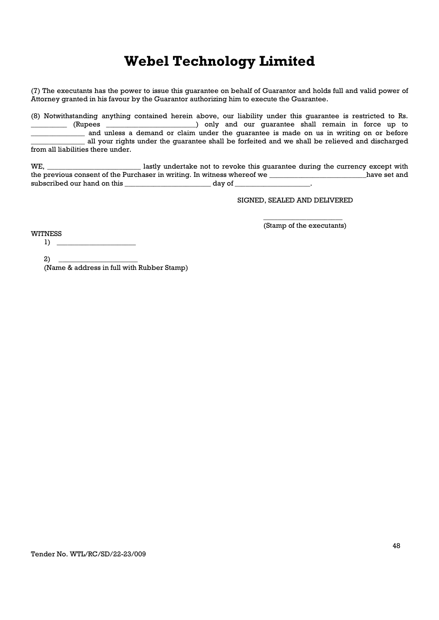(7) The executants has the power to issue this guarantee on behalf of Guarantor and holds full and valid power of Attorney granted in his favour by the Guarantor authorizing him to execute the Guarantee.

(8) Notwithstanding anything contained herein above, our liability under this guarantee is restricted to Rs. \_\_\_\_\_\_\_\_\_\_ (Rupees \_\_\_\_\_\_\_\_\_\_\_\_\_\_\_\_\_\_\_\_\_\_\_\_\_) only and our guarantee shall remain in force up to and unless a demand or claim under the quarantee is made on us in writing on or before all your rights under the guarantee shall be forfeited and we shall be relieved and discharged from all liabilities there under.

WE, \_\_\_\_\_\_\_\_\_\_\_\_\_\_\_\_\_\_\_\_\_\_\_\_\_\_ lastly undertake not to revoke this guarantee during the currency except with the previous consent of the Purchaser in writing. In witness whereof we \_\_\_\_\_\_\_\_\_\_\_\_\_\_\_\_\_\_\_\_\_\_\_\_\_\_\_\_\_\_\_have set and subscribed our hand on this example of the day of the control of the control of the control of the control of the control of the control of the control of the control of the control of the control of the control of the con

SIGNED, SEALED AND DELIVERED

\_\_\_\_\_\_\_\_\_\_\_\_\_\_\_\_\_\_\_\_\_\_ (Stamp of the executants)

**WITNESS** 

 $1)$ 

2) \_\_\_\_\_\_\_\_\_\_\_\_\_\_\_\_\_\_\_\_\_\_

(Name & address in full with Rubber Stamp)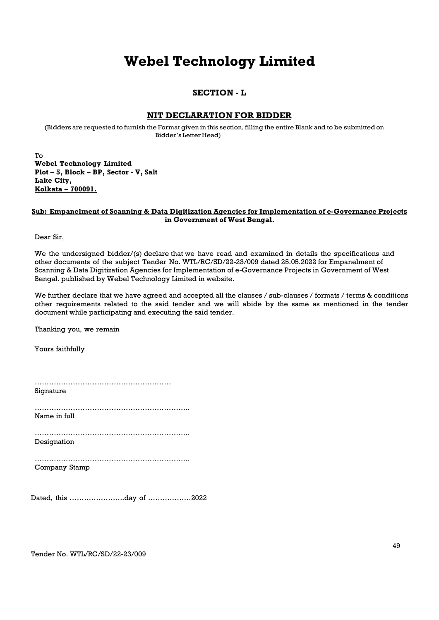### SECTION - L

### NIT DECLARATION FOR BIDDER

(Bidders are requested to furnish the Format given in this section, filling the entire Blank and to be submitted on Bidder's Letter Head)

To Webel Technology Limited Plot – 5, Block – BP, Sector - V, Salt Lake City, Kolkata – 700091.

#### Sub: Empanelment of Scanning & Data Digitization Agencies for Implementation of e-Governance Projects in Government of West Bengal.

Dear Sir,

We the undersigned bidder/(s) declare that we have read and examined in details the specifications and other documents of the subject Tender No. WTL/RC/SD/22-23/009 dated 25.05.2022 for Empanelment of Scanning & Data Digitization Agencies for Implementation of e-Governance Projects in Government of West Bengal. published by Webel Technology Limited in website.

We further declare that we have agreed and accepted all the clauses / sub-clauses / formats / terms & conditions other requirements related to the said tender and we will abide by the same as mentioned in the tender document while participating and executing the said tender.

Thanking you, we remain

Yours faithfully

| Signature |  |
|-----------|--|
|           |  |

Name in full

……………………………………………………….. Designation

…………………………………………………………………………

……………………………………………………….. Company Stamp

Dated, this …………………..day of ………………2022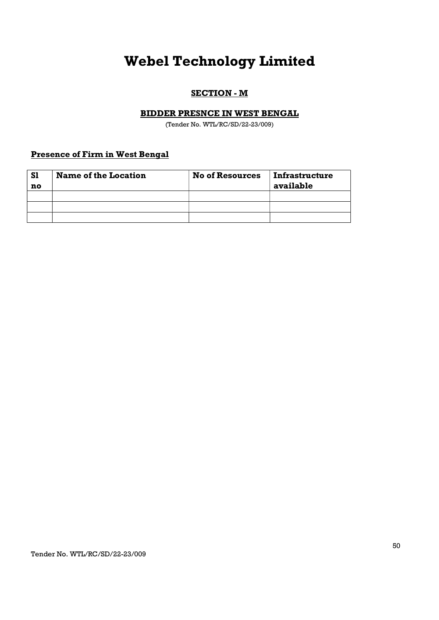### SECTION - M

### BIDDER PRESNCE IN WEST BENGAL

(Tender No. WTL/RC/SD/22-23/009)

### Presence of Firm in West Bengal

| <b>S1</b> | <b>Name of the Location</b> | <b>No of Resources</b> | <b>Infrastructure</b> |
|-----------|-----------------------------|------------------------|-----------------------|
| no        |                             |                        | available             |
|           |                             |                        |                       |
|           |                             |                        |                       |
|           |                             |                        |                       |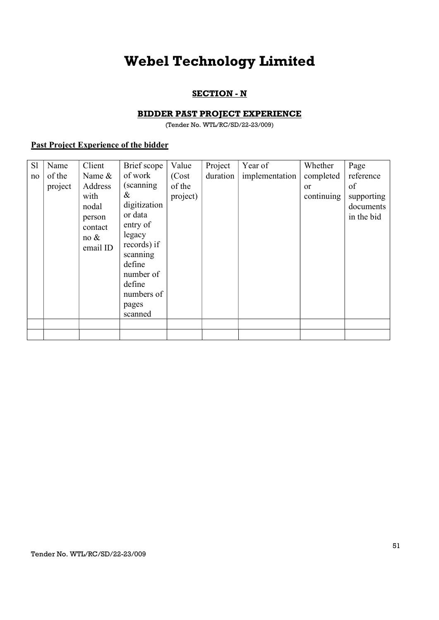### **SECTION - N**

### BIDDER PAST PROJECT EXPERIENCE

(Tender No. WTL/RC/SD/22-23/009)

### Past Project Experience of the bidder

| S1 | Name    | Client                                                            | Brief scope                                                                                 | Value              | Project  | Year of        | Whether          | Page                                        |
|----|---------|-------------------------------------------------------------------|---------------------------------------------------------------------------------------------|--------------------|----------|----------------|------------------|---------------------------------------------|
| no | of the  | Name &                                                            | of work                                                                                     | (Cost)             | duration | implementation | completed        | reference                                   |
|    | project | Address<br>with<br>nodal<br>person<br>contact<br>no &<br>email ID | (scanning)<br>&<br>digitization<br>or data<br>entry of<br>legacy<br>records) if<br>scanning | of the<br>project) |          |                | or<br>continuing | of<br>supporting<br>documents<br>in the bid |
|    |         |                                                                   | define<br>number of<br>define<br>numbers of<br>pages<br>scanned                             |                    |          |                |                  |                                             |
|    |         |                                                                   |                                                                                             |                    |          |                |                  |                                             |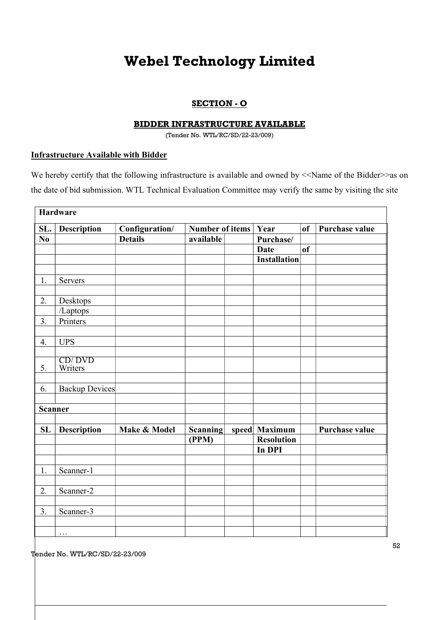### SECTION - O

### BIDDER INFRASTRUCTURE AVAILABLE

(Tender No. WTL/RC/SD/22-23/009)

### Infrastructure Available with Bidder

We hereby certify that the following infrastructure is available and owned by <<Name of the Bidder>>as on the date of bid submission. WTL Technical Evaluation Committee may verify the same by visiting the site

|                        | Hardware              |                |                 |  |                     |               |                       |
|------------------------|-----------------------|----------------|-----------------|--|---------------------|---------------|-----------------------|
| SL.                    | <b>Description</b>    | Configuration/ | Number of items |  | Year                | <sub>of</sub> | <b>Purchase value</b> |
| $\mathbf{N}\mathbf{0}$ |                       | <b>Details</b> | available       |  | Purchase/           |               |                       |
|                        |                       |                |                 |  | <b>Date</b>         | <sub>of</sub> |                       |
|                        |                       |                |                 |  | <b>Installation</b> |               |                       |
|                        |                       |                |                 |  |                     |               |                       |
| 1.                     | Servers               |                |                 |  |                     |               |                       |
|                        |                       |                |                 |  |                     |               |                       |
| 2.                     | Desktops              |                |                 |  |                     |               |                       |
|                        | /Laptops              |                |                 |  |                     |               |                       |
| 3.                     | Printers              |                |                 |  |                     |               |                       |
|                        |                       |                |                 |  |                     |               |                       |
| 4.                     | <b>UPS</b>            |                |                 |  |                     |               |                       |
|                        |                       |                |                 |  |                     |               |                       |
| 5.                     | CD/DVD<br>Writers     |                |                 |  |                     |               |                       |
|                        |                       |                |                 |  |                     |               |                       |
| 6.                     | <b>Backup Devices</b> |                |                 |  |                     |               |                       |
|                        |                       |                |                 |  |                     |               |                       |
| <b>Scanner</b>         |                       |                |                 |  |                     |               |                       |
|                        |                       |                |                 |  |                     |               |                       |
| SL                     | <b>Description</b>    | Make & Model   | <b>Scanning</b> |  | speed Maximum       |               | <b>Purchase value</b> |
|                        |                       |                | (PPM)           |  | <b>Resolution</b>   |               |                       |
|                        |                       |                |                 |  | In DPI              |               |                       |
|                        |                       |                |                 |  |                     |               |                       |
| 1.                     | Scanner-1             |                |                 |  |                     |               |                       |
|                        |                       |                |                 |  |                     |               |                       |
| 2.                     | Scanner-2             |                |                 |  |                     |               |                       |
|                        |                       |                |                 |  |                     |               |                       |
| 3.                     | Scanner-3             |                |                 |  |                     |               |                       |
|                        |                       |                |                 |  |                     |               |                       |
|                        | $\cdots$              |                |                 |  |                     |               |                       |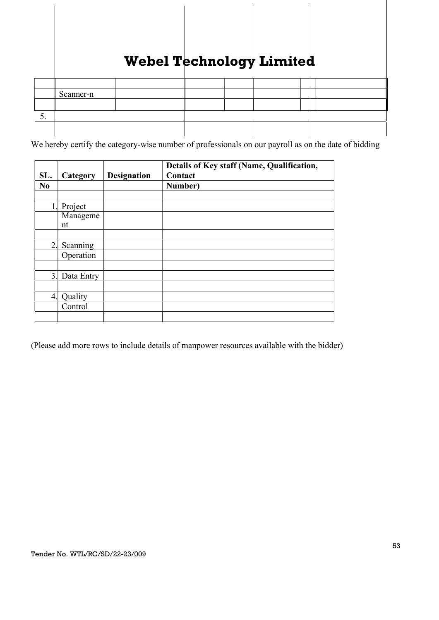|    |           |  | -<br>. . |  |  |
|----|-----------|--|----------|--|--|
|    |           |  |          |  |  |
|    | Scanner-n |  |          |  |  |
|    |           |  |          |  |  |
| ◡. |           |  |          |  |  |
|    |           |  |          |  |  |

We hereby certify the category-wise number of professionals on our payroll as on the date of bidding

| SL.            | Category   | <b>Designation</b> | Details of Key staff (Name, Qualification,<br>Contact |
|----------------|------------|--------------------|-------------------------------------------------------|
| N <sub>0</sub> |            |                    | Number)                                               |
|                |            |                    |                                                       |
|                | Project    |                    |                                                       |
|                | Manageme   |                    |                                                       |
|                | nt         |                    |                                                       |
|                |            |                    |                                                       |
| 2.             | Scanning   |                    |                                                       |
|                | Operation  |                    |                                                       |
|                |            |                    |                                                       |
| 3.             | Data Entry |                    |                                                       |
|                |            |                    |                                                       |
| 4.             | Quality    |                    |                                                       |
|                | Control    |                    |                                                       |
|                |            |                    |                                                       |

(Please add more rows to include details of manpower resources available with the bidder)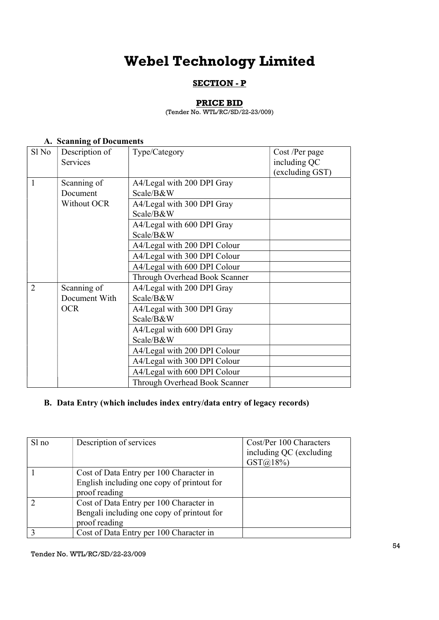### SECTION - P

### PRICE BID

(Tender No. WTL/RC/SD/22-23/009)

### A. Scanning of Documents

| Sl No          | Description of<br>Services   | Type/Category                                                            | Cost /Per page<br>including QC<br>(excluding GST) |
|----------------|------------------------------|--------------------------------------------------------------------------|---------------------------------------------------|
| 1              | Scanning of<br>Document      | A4/Legal with 200 DPI Gray<br>Scale/B&W                                  |                                                   |
|                | Without OCR                  | A4/Legal with 300 DPI Gray<br>Scale/B&W                                  |                                                   |
|                |                              | A4/Legal with 600 DPI Gray<br>Scale/B&W                                  |                                                   |
|                |                              | A4/Legal with 200 DPI Colour<br>A4/Legal with 300 DPI Colour             |                                                   |
|                |                              | A4/Legal with 600 DPI Colour                                             |                                                   |
| $\overline{2}$ | Scanning of<br>Document With | Through Overhead Book Scanner<br>A4/Legal with 200 DPI Gray<br>Scale/B&W |                                                   |
|                | <b>OCR</b>                   | A4/Legal with 300 DPI Gray<br>Scale/B&W                                  |                                                   |
|                |                              | A4/Legal with 600 DPI Gray<br>Scale/B&W                                  |                                                   |
|                |                              | A4/Legal with 200 DPI Colour                                             |                                                   |
|                |                              | A4/Legal with 300 DPI Colour<br>A4/Legal with 600 DPI Colour             |                                                   |
|                |                              | Through Overhead Book Scanner                                            |                                                   |

### B. Data Entry (which includes index entry/data entry of legacy records)

| $S1$ no | Description of services                                                                                | Cost/Per 100 Characters<br>including QC (excluding<br>$GST(\hat{\omega})18\%$ |
|---------|--------------------------------------------------------------------------------------------------------|-------------------------------------------------------------------------------|
|         | Cost of Data Entry per 100 Character in<br>English including one copy of printout for<br>proof reading |                                                                               |
|         | Cost of Data Entry per 100 Character in<br>Bengali including one copy of printout for<br>proof reading |                                                                               |
|         | Cost of Data Entry per 100 Character in                                                                |                                                                               |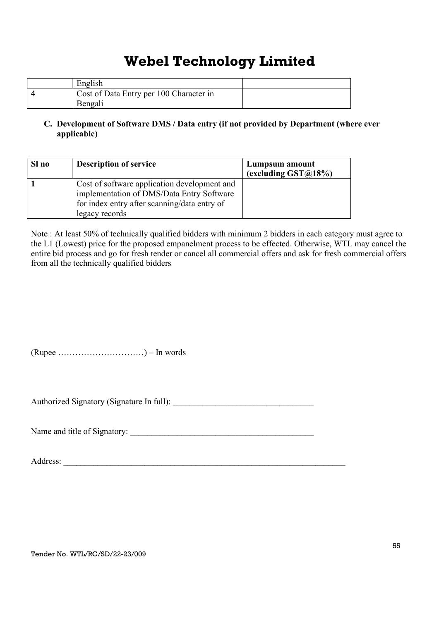| English                                 |  |
|-----------------------------------------|--|
| Cost of Data Entry per 100 Character in |  |
| Bengali                                 |  |

### C. Development of Software DMS / Data entry (if not provided by Department (where ever applicable)

| Sl no | <b>Description of service</b>                                                                                                                               | Lumpsum amount<br>(excluding $\text{GST@18\%}$ ) |
|-------|-------------------------------------------------------------------------------------------------------------------------------------------------------------|--------------------------------------------------|
|       | Cost of software application development and<br>implementation of DMS/Data Entry Software<br>for index entry after scanning/data entry of<br>legacy records |                                                  |

Note : At least 50% of technically qualified bidders with minimum 2 bidders in each category must agree to the L1 (Lowest) price for the proposed empanelment process to be effected. Otherwise, WTL may cancel the entire bid process and go for fresh tender or cancel all commercial offers and ask for fresh commercial offers from all the technically qualified bidders

 $(Rupec \dots \dots \dots \dots \dots \dots )$  – In words

Authorized Signatory (Signature In full): \_\_\_\_\_\_\_\_\_\_\_\_\_\_\_\_\_\_\_\_\_\_\_\_\_\_\_\_\_\_\_\_\_

Name and title of Signatory: \_\_\_\_\_\_\_\_\_\_\_\_\_\_\_\_\_\_\_\_\_\_\_\_\_\_\_\_\_\_\_\_\_\_\_\_\_\_\_\_\_\_\_

Address: